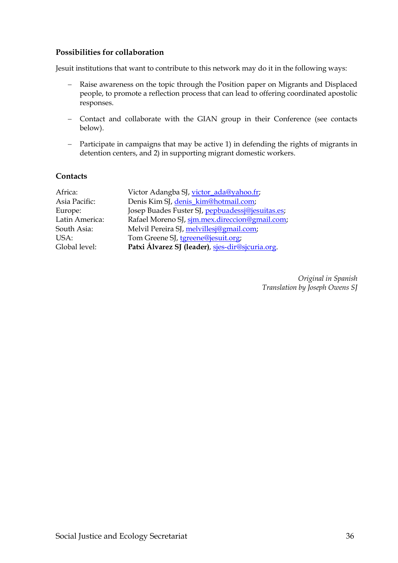## **Possibilities for collaboration**

Jesuit institutions that want to contribute to this network may do it in the following ways:

- − Raise awareness on the topic through the Position paper on Migrants and Displaced people, to promote a reflection process that can lead to offering coordinated apostolic responses.
- − Contact and collaborate with the GIAN group in their Conference (see contacts below).
- − Participate in campaigns that may be active 1) in defending the rights of migrants in detention centers, and 2) in supporting migrant domestic workers.

## **Contacts**

| Victor Adangba SJ, victor_ada@yahoo.fr;          |
|--------------------------------------------------|
| Denis Kim SJ, denis_kim@hotmail.com;             |
| Josep Buades Fuster SJ, pepbuadessj@jesuitas.es; |
| Rafael Moreno SJ, sim.mex.direccion@gmail.com;   |
| Melvil Pereira SJ, melvillesj@gmail.com;         |
| Tom Greene SJ, tgreene@jesuit.org;               |
| Patxi Álvarez SJ (leader), sies-dir@sjcuria.org. |
|                                                  |

*Original in Spanish Translation by Joseph Owens SJ*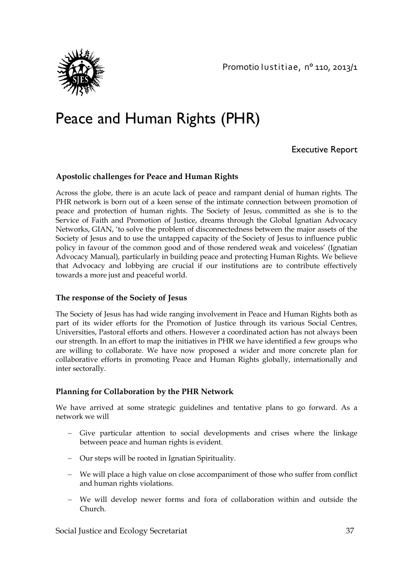

# Peace and Human Rights (PHR)

Executive Report

#### **Apostolic challenges for Peace and Human Rights**

Across the globe, there is an acute lack of peace and rampant denial of human rights. The PHR network is born out of a keen sense of the intimate connection between promotion of peace and protection of human rights. The Society of Jesus, committed as she is to the Service of Faith and Promotion of Justice, dreams through the Global Ignatian Advocacy Networks, GIAN, 'to solve the problem of disconnectedness between the major assets of the Society of Jesus and to use the untapped capacity of the Society of Jesus to influence public policy in favour of the common good and of those rendered weak and voiceless' (Ignatian Advocacy Manual), particularly in building peace and protecting Human Rights. We believe that Advocacy and lobbying are crucial if our institutions are to contribute effectively towards a more just and peaceful world.

#### **The response of the Society of Jesus**

The Society of Jesus has had wide ranging involvement in Peace and Human Rights both as part of its wider efforts for the Promotion of Justice through its various Social Centres, Universities, Pastoral efforts and others. However a coordinated action has not always been our strength. In an effort to map the initiatives in PHR we have identified a few groups who are willing to collaborate. We have now proposed a wider and more concrete plan for collaborative efforts in promoting Peace and Human Rights globally, internationally and inter sectorally.

#### **Planning for Collaboration by the PHR Network**

We have arrived at some strategic guidelines and tentative plans to go forward. As a network we will

- − Give particular attention to social developments and crises where the linkage between peace and human rights is evident.
- − Our steps will be rooted in Ignatian Spirituality.
- − We will place a high value on close accompaniment of those who suffer from conflict and human rights violations.
- − We will develop newer forms and fora of collaboration within and outside the Church.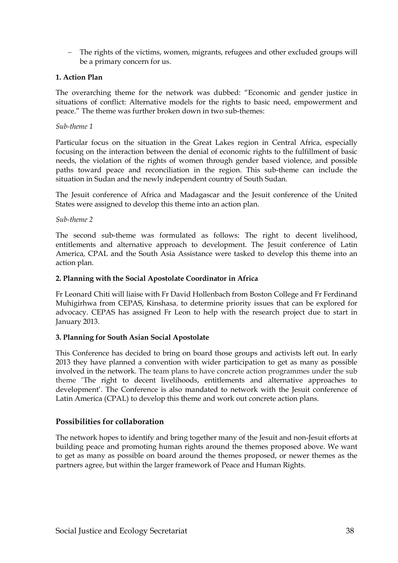− The rights of the victims, women, migrants, refugees and other excluded groups will be a primary concern for us.

#### **1. Action Plan**

The overarching theme for the network was dubbed: "Economic and gender justice in situations of conflict: Alternative models for the rights to basic need, empowerment and peace." The theme was further broken down in two sub-themes:

#### *Sub-theme 1*

Particular focus on the situation in the Great Lakes region in Central Africa, especially focusing on the interaction between the denial of economic rights to the fulfillment of basic needs, the violation of the rights of women through gender based violence, and possible paths toward peace and reconciliation in the region. This sub-theme can include the situation in Sudan and the newly independent country of South Sudan.

The Jesuit conference of Africa and Madagascar and the Jesuit conference of the United States were assigned to develop this theme into an action plan.

#### *Sub-theme 2*

The second sub-theme was formulated as follows: The right to decent livelihood, entitlements and alternative approach to development. The Jesuit conference of Latin America, CPAL and the South Asia Assistance were tasked to develop this theme into an action plan.

#### **2. Planning with the Social Apostolate Coordinator in Africa**

Fr Leonard Chiti will liaise with Fr David Hollenbach from Boston College and Fr Ferdinand Muhigirhwa from CEPAS, Kinshasa, to determine priority issues that can be explored for advocacy. CEPAS has assigned Fr Leon to help with the research project due to start in January 2013.

#### **3. Planning for South Asian Social Apostolate**

This Conference has decided to bring on board those groups and activists left out. In early 2013 they have planned a convention with wider participation to get as many as possible involved in the network. The team plans to have concrete action programmes under the sub theme 'The right to decent livelihoods, entitlements and alternative approaches to development'. The Conference is also mandated to network with the Jesuit conference of Latin America (CPAL) to develop this theme and work out concrete action plans.

#### **Possibilities for collaboration**

The network hopes to identify and bring together many of the Jesuit and non-Jesuit efforts at building peace and promoting human rights around the themes proposed above. We want to get as many as possible on board around the themes proposed, or newer themes as the partners agree, but within the larger framework of Peace and Human Rights.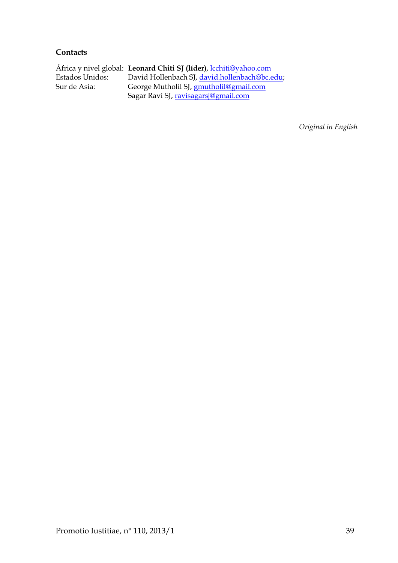#### **Contacts**

África y nivel global: **Leonard Chiti SJ (líder)**, [lcchiti@yahoo.com](mailto:lcchiti@yahoo.com)  Estados Unidos: David Hollenbach SJ, <u>david.hollenbach@bc.edu</u>;<br>Sur de Asia: George Mutholil SJ, <u>gmutholil@gmail.com</u> George Mutholil SJ, **gmutholil@gmail.com** Sagar Ravi SJ, [ravisagarsj@gmail.com](mailto:ravisagarsj@gmail.com) 

*Original in English*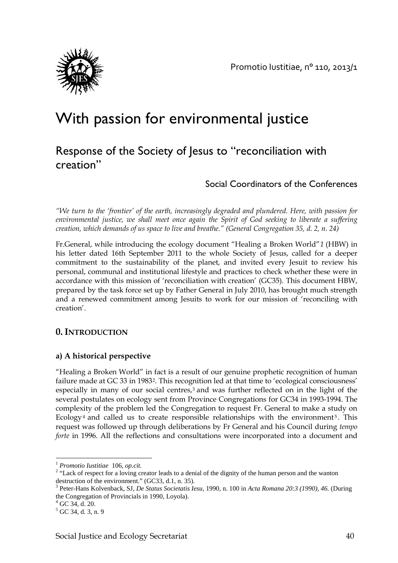

## With passion for environmental justice

## Response of the Society of Jesus to "reconciliation with creation"

## Social Coordinators of the Conferences

*"We turn to the 'frontier' of the earth, increasingly degraded and plundered. Here, with passion for environmental justice, we shall meet once again the Spirit of God seeking to liberate a suffering creation, which demands of us space to live and breathe." (General Congregation 35, d. 2, n. 24)*

Fr.General, while introducing the ecology document "Healing a Broken World"*[1](#page-39-0)* (HBW) in his letter dated 16th September 2011 to the whole Society of Jesus, called for a deeper commitment to the sustainability of the planet, and invited every Jesuit to review his personal, communal and institutional lifestyle and practices to check whether these were in accordance with this mission of 'reconciliation with creation' (GC35). This document HBW, prepared by the task force set up by Father General in July 2010, has brought much strength and a renewed commitment among Jesuits to work for our mission of 'reconciling with creation'.

## **0. INTRODUCTION**

## **a) A historical perspective**

"Healing a Broken World" in fact is a result of our genuine prophetic recognition of human failure made at GC 33 in 1983<sup>2</sup>. This recognition led at that time to 'ecological consciousness' especially in many of our social centres,<sup>[3](#page-39-2)</sup> and was further reflected on in the light of the several postulates on ecology sent from Province Congregations for GC34 in 1993-1994. The complexity of the problem led the Congregation to request Fr. General to make a study on Ecology<sup>[4](#page-39-3)</sup> and called us to create responsible relationships with the environment<sup>[5](#page-39-4)</sup>. This request was followed up through deliberations by Fr General and his Council during *tempo forte* in 1996. All the reflections and consultations were incorporated into a document and

 $\overline{\phantom{a}}$ 

<span id="page-39-0"></span><sup>&</sup>lt;sup>1</sup> *Promotio Iustitiae* 106, *op.cit.*<br><sup>2</sup> "Lack of respect for a loving creator leads to a denial of the dignity of the human person and the wanton

<span id="page-39-2"></span><span id="page-39-1"></span>destruction of the environment." (GC33, d.1, n. 35).<br><sup>3</sup> Peter-Hans Kolvenback, SJ, *De Status Societatis Iesu*, 1990, n. 100 in *Acta Romana 20:3 (1990), 46.* (During the Congregation of Provincials in 1990, Loyola).<br> $^{4}$  GC 34, d. 20.<br> $^{5}$  GC 34, d. 3, n. 9

<span id="page-39-3"></span>

<span id="page-39-4"></span>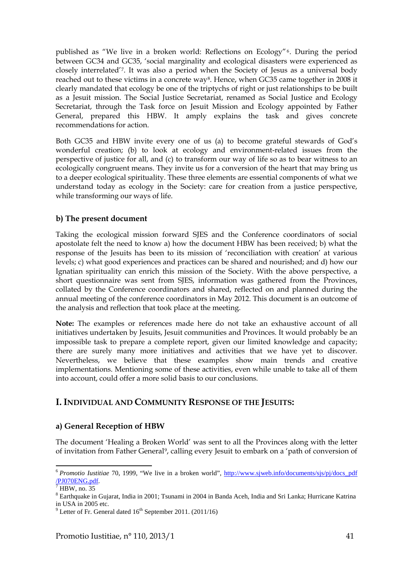published as "We live in a broken world: Reflections on Ecology"[6](#page-40-0). During the period between GC34 and GC35, 'social marginality and ecological disasters were experienced as closely interrelated'[7](#page-40-1). It was also a period when the Society of Jesus as a universal body reached out to these victims in a concrete way<sup>[8](#page-40-2)</sup>. Hence, when GC35 came together in 2008 it clearly mandated that ecology be one of the triptychs of right or just relationships to be built as a Jesuit mission. The Social Justice Secretariat, renamed as Social Justice and Ecology Secretariat, through the Task force on Jesuit Mission and Ecology appointed by Father General, prepared this HBW. It amply explains the task and gives concrete recommendations for action.

Both GC35 and HBW invite every one of us (a) to become grateful stewards of God's wonderful creation; (b) to look at ecology and environment-related issues from the perspective of justice for all, and (c) to transform our way of life so as to bear witness to an ecologically congruent means. They invite us for a conversion of the heart that may bring us to a deeper ecological spirituality. These three elements are essential components of what we understand today as ecology in the Society: care for creation from a justice perspective, while transforming our ways of life.

#### **b) The present document**

Taking the ecological mission forward SJES and the Conference coordinators of social apostolate felt the need to know a) how the document HBW has been received; b) what the response of the Jesuits has been to its mission of 'reconciliation with creation' at various levels; c) what good experiences and practices can be shared and nourished; and d) how our Ignatian spirituality can enrich this mission of the Society. With the above perspective, a short questionnaire was sent from SJES, information was gathered from the Provinces, collated by the Conference coordinators and shared, reflected on and planned during the annual meeting of the conference coordinators in May 2012. This document is an outcome of the analysis and reflection that took place at the meeting.

**Note:** The examples or references made here do not take an exhaustive account of all initiatives undertaken by Jesuits, Jesuit communities and Provinces. It would probably be an impossible task to prepare a complete report, given our limited knowledge and capacity; there are surely many more initiatives and activities that we have yet to discover. Nevertheless, we believe that these examples show main trends and creative implementations. Mentioning some of these activities, even while unable to take all of them into account, could offer a more solid basis to our conclusions.

## **I. INDIVIDUAL AND COMMUNITY RESPONSE OF THE JESUITS:**

#### **a) General Reception of HBW**

The document 'Healing a Broken World' was sent to all the Provinces along with the letter of invitation from Father General[9,](#page-40-3) calling every Jesuit to embark on a 'path of conversion of

 $\overline{\phantom{a}}$ 

<span id="page-40-0"></span><sup>&</sup>lt;sup>6</sup> *Promotio Iustitiae* 70, 1999, "We live in a broken world", [http://www.sjweb.info/documents/sjs/pj/docs\\_pdf](http://www.sjweb.info/documents/sjs/pj/docs_pdf%20/PJ070ENG.pdf)  $\frac{\text{/PJ070ENG.pdf}}{\text{HBW}}$  $\frac{\text{/PJ070ENG.pdf}}{\text{HBW}}$  $\frac{\text{/PJ070ENG.pdf}}{\text{HBW}}$ . no. 35

<span id="page-40-2"></span><span id="page-40-1"></span><sup>8</sup> Earthquake in Gujarat, India in 2001; Tsunami in 2004 in Banda Aceh, India and Sri Lanka; Hurricane Katrina in USA in 2005 etc.

<span id="page-40-3"></span> $9$  Letter of Fr. General dated  $16<sup>th</sup>$  September 2011. (2011/16)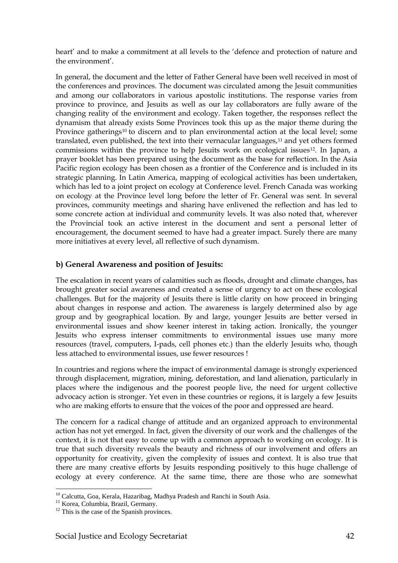heart' and to make a commitment at all levels to the 'defence and protection of nature and the environment'.

In general, the document and the letter of Father General have been well received in most of the conferences and provinces. The document was circulated among the Jesuit communities and among our collaborators in various apostolic institutions. The response varies from province to province, and Jesuits as well as our lay collaborators are fully aware of the changing reality of the environment and ecology. Taken together, the responses reflect the dynamism that already exists Some Provinces took this up as the major theme during the Province gatherings<sup>[10](#page-41-0)</sup> to discern and to plan environmental action at the local level; some translated, even published, the text into their vernacular languages,<sup>11</sup> and yet others formed commissions within the province to help Jesuits work on ecological issues<sup>[12](#page-41-2)</sup>. In Japan, a prayer booklet has been prepared using the document as the base for reflection. In the Asia Pacific region ecology has been chosen as a frontier of the Conference and is included in its strategic planning. In Latin America, mapping of ecological activities has been undertaken, which has led to a joint project on ecology at Conference level. French Canada was working on ecology at the Province level long before the letter of Fr. General was sent. In several provinces, community meetings and sharing have enlivened the reflection and has led to some concrete action at individual and community levels. It was also noted that, wherever the Provincial took an active interest in the document and sent a personal letter of encouragement, the document seemed to have had a greater impact. Surely there are many more initiatives at every level, all reflective of such dynamism.

#### **b) General Awareness and position of Jesuits:**

The escalation in recent years of calamities such as floods, drought and climate changes, has brought greater social awareness and created a sense of urgency to act on these ecological challenges. But for the majority of Jesuits there is little clarity on how proceed in bringing about changes in response and action. The awareness is largely determined also by age group and by geographical location. By and large, younger Jesuits are better versed in environmental issues and show keener interest in taking action. Ironically, the younger Jesuits who express intenser commitments to environmental issues use many more resources (travel, computers, I-pads, cell phones etc.) than the elderly Jesuits who, though less attached to environmental issues, use fewer resources !

In countries and regions where the impact of environmental damage is strongly experienced through displacement, migration, mining, deforestation, and land alienation, particularly in places where the indigenous and the poorest people live, the need for urgent collective advocacy action is stronger. Yet even in these countries or regions, it is largely a few Jesuits who are making efforts to ensure that the voices of the poor and oppressed are heard.

The concern for a radical change of attitude and an organized approach to environmental action has not yet emerged. In fact, given the diversity of our work and the challenges of the context, it is not that easy to come up with a common approach to working on ecology. It is true that such diversity reveals the beauty and richness of our involvement and offers an opportunity for creativity, given the complexity of issues and context. It is also true that there are many creative efforts by Jesuits responding positively to this huge challenge of ecology at every conference. At the same time, there are those who are somewhat

 $\overline{\phantom{a}}$ 

<span id="page-41-0"></span><sup>&</sup>lt;sup>10</sup> Calcutta, Goa, Kerala, Hazaribag, Madhya Pradesh and Ranchi in South Asia.<br><sup>11</sup> Korea, Columbia, Brazil, Germany. <sup>12</sup> This is the case of the Spanish provinces.

<span id="page-41-1"></span>

<span id="page-41-2"></span>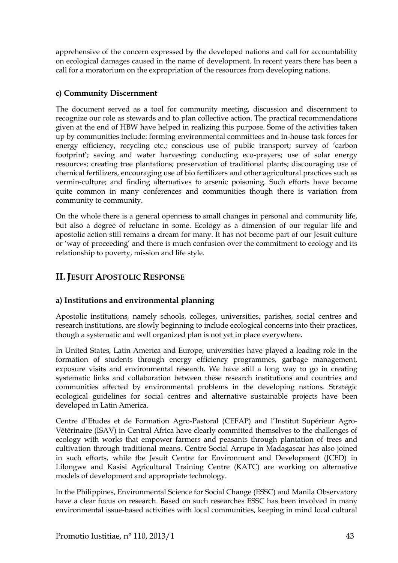apprehensive of the concern expressed by the developed nations and call for accountability on ecological damages caused in the name of development. In recent years there has been a call for a moratorium on the expropriation of the resources from developing nations.

## **c) Community Discernment**

The document served as a tool for community meeting, discussion and discernment to recognize our role as stewards and to plan collective action. The practical recommendations given at the end of HBW have helped in realizing this purpose. Some of the activities taken up by communities include: forming environmental committees and in-house task forces for energy efficiency, recycling etc.; conscious use of public transport; survey of 'carbon footprint'; saving and water harvesting; conducting eco-prayers; use of solar energy resources; creating tree plantations; preservation of traditional plants; discouraging use of chemical fertilizers, encouraging use of bio fertilizers and other agricultural practices such as vermin-culture; and finding alternatives to arsenic poisoning. Such efforts have become quite common in many conferences and communities though there is variation from community to community.

On the whole there is a general openness to small changes in personal and community life, but also a degree of reluctanc in some. Ecology as a dimension of our regular life and apostolic action still remains a dream for many. It has not become part of our Jesuit culture or 'way of proceeding' and there is much confusion over the commitment to ecology and its relationship to poverty, mission and life style.

## **II. JESUIT APOSTOLIC RESPONSE**

## **a) Institutions and environmental planning**

Apostolic institutions, namely schools, colleges, universities, parishes, social centres and research institutions, are slowly beginning to include ecological concerns into their practices, though a systematic and well organized plan is not yet in place everywhere.

In United States, Latin America and Europe, universities have played a leading role in the formation of students through energy efficiency programmes, garbage management, exposure visits and environmental research. We have still a long way to go in creating systematic links and collaboration between these research institutions and countries and communities affected by environmental problems in the developing nations. Strategic ecological guidelines for social centres and alternative sustainable projects have been developed in Latin America.

Centre d'Etudes et de Formation Agro-Pastoral (CEFAP) and l'Institut Supérieur Agro-Vétérinaire (ISAV) in Central Africa have clearly committed themselves to the challenges of ecology with works that empower farmers and peasants through plantation of trees and cultivation through traditional means. Centre Social Arrupe in Madagascar has also joined in such efforts, while the Jesuit Centre for Environment and Development (JCED) in Lilongwe and Kasisi Agricultural Training Centre (KATC) are working on alternative models of development and appropriate technology.

In the Philippines, Environmental Science for Social Change (ESSC) and Manila Observatory have a clear focus on research. Based on such researches ESSC has been involved in many environmental issue-based activities with local communities, keeping in mind local cultural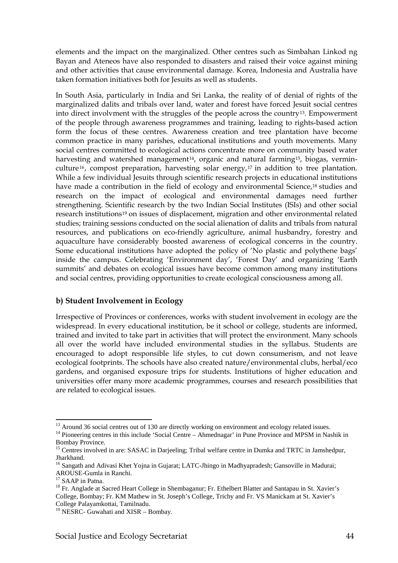elements and the impact on the marginalized. Other centres such as Simbahan Linkod ng Bayan and Ateneos have also responded to disasters and raised their voice against mining and other activities that cause environmental damage. Korea, Indonesia and Australia have taken formation initiatives both for Jesuits as well as students.

In South Asia, particularly in India and Sri Lanka, the reality of of denial of rights of the marginalized dalits and tribals over land, water and forest have forced Jesuit social centres into direct involvment with the struggles of the people across the country[13.](#page-43-0) Empowerment of the people through awareness programmes and training, leading to rights-based action form the focus of these centres. Awareness creation and tree plantation have become common practice in many parishes, educational institutions and youth movements. Many social centres committed to ecological actions concentrate more on community based water harvesting and watershed management<sup>[14](#page-43-1)</sup>, organic and natural farming<sup>[15](#page-43-2)</sup>, biogas, verminculture [16](#page-43-3), compost preparation, harvesting solar energy, [17](#page-43-4) in addition to tree plantation. While a few individual Jesuits through scientific research projects in educational institutions have made a contribution in the field of ecology and environmental Science,<sup>[18](#page-43-5)</sup> studies and research on the impact of ecological and environmental damages need further strengthening. Scientific research by the two Indian Social Institutes (ISIs) and other social research institutions[19](#page-43-6) on issues of displacement, migration and other environmental related studies; training sessions conducted on the social alienation of dalits and tribals from natural resources, and publications on eco-friendly agriculture, animal husbandry, forestry and aquaculture have considerably boosted awareness of ecological concerns in the country. Some educational institutions have adopted the policy of 'No plastic and polythene bags' inside the campus. Celebrating 'Environment day', 'Forest Day' and organizing 'Earth summits' and debates on ecological issues have become common among many institutions and social centres, providing opportunities to create ecological consciousness among all.

#### **b) Student Involvement in Ecology**

Irrespective of Provinces or conferences, works with student involvement in ecology are the widespread. In every educational institution, be it school or college, students are informed, trained and invited to take part in activities that will protect the environment. Many schools all over the world have included environmental studies in the syllabus. Students are encouraged to adopt responsible life styles, to cut down consumerism, and not leave ecological footprints. The schools have also created nature/environmental clubs, herbal/eco gardens, and organised exposure trips for students. Institutions of higher education and universities offer many more academic programmes, courses and research possibilities that are related to ecological issues.

<span id="page-43-0"></span><sup>&</sup>lt;sup>13</sup> Around 36 social centres out of 130 are directly working on environment and ecology related issues.

<span id="page-43-1"></span> $14$  Pioneering centres in this include 'Social Centre – Ahmednagar' in Pune Province and MPSM in Nashik in Bombay Province.

<span id="page-43-2"></span><sup>&</sup>lt;sup>15</sup> Centres involved in are: SASAC in Darjeeling; Tribal welfare centre in Dumka and TRTC in Jamshedpur,

<span id="page-43-3"></span>Jharkhand.<br><sup>16</sup> Sangath and Adivasi Khet Yojna in Gujarat; LATC-Jhingo in Madhyapradesh; Gansoville in Madurai;<br>AROUSE-Gumla in Ranchi.

<span id="page-43-5"></span><span id="page-43-4"></span><sup>&</sup>lt;sup>17</sup> SAAP in Patna.<br><sup>18</sup> Fr. Anglade at Sacred Heart College in Shembaganur; Fr. Ethelbert Blatter and Santapau in St. Xavier's College, Bombay; Fr. KM Mathew in St. Joseph's College, Trichy and Fr. VS Manickam at St. Xavier's

<span id="page-43-6"></span>College Palayamkottai, Tamilnadu. 19 NESRC- Guwahati and XISR – Bombay.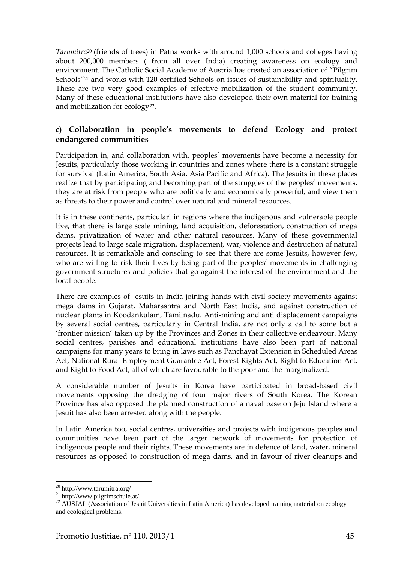*Tarumitra*[20](#page-44-0) (friends of trees) in Patna works with around 1,000 schools and colleges having about 200,000 members ( from all over India) creating awareness on ecology and environment. The Catholic Social Academy of Austria has created an association of "Pilgrim Schools"<sup>[21](#page-44-1)</sup> and works with 120 certified Schools on issues of sustainability and spirituality. These are two very good examples of effective mobilization of the student community. Many of these educational institutions have also developed their own material for training and mobilization for ecology<sup>22</sup>.

#### **c) Collaboration in people's movements to defend Ecology and protect endangered communities**

Participation in, and collaboration with, peoples' movements have become a necessity for Jesuits, particularly those working in countries and zones where there is a constant struggle for survival (Latin America, South Asia, Asia Pacific and Africa). The Jesuits in these places realize that by participating and becoming part of the struggles of the peoples' movements, they are at risk from people who are politically and economically powerful, and view them as threats to their power and control over natural and mineral resources.

It is in these continents, particularl in regions where the indigenous and vulnerable people live, that there is large scale mining, land acquisition, deforestation, construction of mega dams, privatization of water and other natural resources. Many of these governmental projects lead to large scale migration, displacement, war, violence and destruction of natural resources. It is remarkable and consoling to see that there are some Jesuits, however few, who are willing to risk their lives by being part of the peoples' movements in challenging government structures and policies that go against the interest of the environment and the local people.

There are examples of Jesuits in India joining hands with civil society movements against mega dams in Gujarat, Maharashtra and North East India, and against construction of nuclear plants in Koodankulam, Tamilnadu. Anti-mining and anti displacement campaigns by several social centres, particularly in Central India, are not only a call to some but a 'frontier mission' taken up by the Provinces and Zones in their collective endeavour. Many social centres, parishes and educational institutions have also been part of national campaigns for many years to bring in laws such as Panchayat Extension in Scheduled Areas Act, National Rural Employment Guarantee Act, Forest Rights Act, Right to Education Act, and Right to Food Act, all of which are favourable to the poor and the marginalized.

A considerable number of Jesuits in Korea have participated in broad-based civil movements opposing the dredging of four major rivers of South Korea. The Korean Province has also opposed the planned construction of a naval base on Jeju Island where a Jesuit has also been arrested along with the people.

In Latin America too, social centres, universities and projects with indigenous peoples and communities have been part of the larger network of movements for protection of indigenous people and their rights. These movements are in defence of land, water, mineral resources as opposed to construction of mega dams, and in favour of river cleanups and

<span id="page-44-0"></span><sup>&</sup>lt;sup>20</sup> http://www.tarumitra.org/

<span id="page-44-2"></span><span id="page-44-1"></span><sup>&</sup>lt;sup>21</sup> http://www.pilgrimschule.at/<br><sup>22</sup> AUSJAL (Association of Jesuit Universities in Latin America) has developed training material on ecology and ecological problems.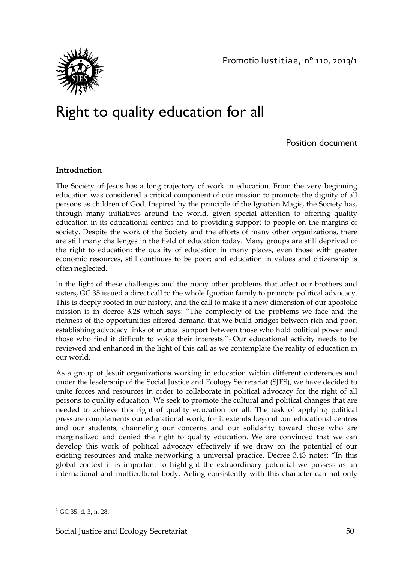

## Right to quality education for all

Position document

#### **Introduction**

The Society of Jesus has a long trajectory of work in education. From the very beginning education was considered a critical component of our mission to promote the dignity of all persons as children of God. Inspired by the principle of the Ignatian Magis, the Society has, through many initiatives around the world, given special attention to offering quality education in its educational centres and to providing support to people on the margins of society. Despite the work of the Society and the efforts of many other organizations, there are still many challenges in the field of education today. Many groups are still deprived of the right to education; the quality of education in many places, even those with greater economic resources, still continues to be poor; and education in values and citizenship is often neglected.

In the light of these challenges and the many other problems that affect our brothers and sisters, GC 35 issued a direct call to the whole Ignatian family to promote political advocacy. This is deeply rooted in our history, and the call to make it a new dimension of our apostolic mission is in decree 3.28 which says: "The complexity of the problems we face and the richness of the opportunities offered demand that we build bridges between rich and poor, establishing advocacy links of mutual support between those who hold political power and those who find it difficult to voice their interests."[1](#page-49-0) Our educational activity needs to be reviewed and enhanced in the light of this call as we contemplate the reality of education in our world.

As a group of Jesuit organizations working in education within different conferences and under the leadership of the Social Justice and Ecology Secretariat (SJES), we have decided to unite forces and resources in order to collaborate in political advocacy for the right of all persons to quality education. We seek to promote the cultural and political changes that are needed to achieve this right of quality education for all. The task of applying political pressure complements our educational work, for it extends beyond our educational centres and our students, channeling our concerns and our solidarity toward those who are marginalized and denied the right to quality education. We are convinced that we can develop this work of political advocacy effectively if we draw on the potential of our existing resources and make networking a universal practice. Decree 3.43 notes: "In this global context it is important to highlight the extraordinary potential we possess as an international and multicultural body. Acting consistently with this character can not only

<span id="page-49-0"></span> $\overline{\phantom{a}}$  $1$  GC 35, d. 3, n. 28.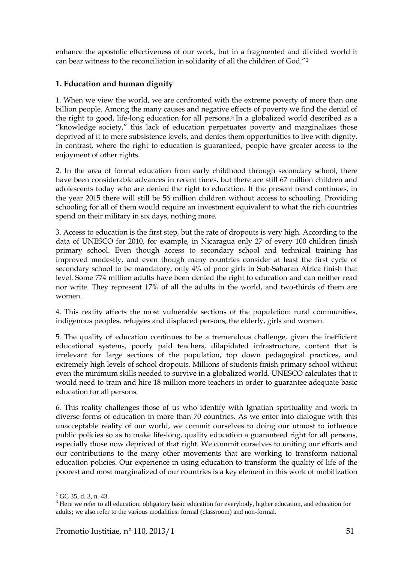enhance the apostolic effectiveness of our work, but in a fragmented and divided world it can bear witness to the reconciliation in solidarity of all the children of God."[2](#page-50-0)

### **1. Education and human dignity**

1. When we view the world, we are confronted with the extreme poverty of more than one billion people. Among the many causes and negative effects of poverty we find the denial of the right to good, life-long education for all persons[.3](#page-50-1) In a globalized world described as a "knowledge society," this lack of education perpetuates poverty and marginalizes those deprived of it to mere subsistence levels, and denies them opportunities to live with dignity. In contrast, where the right to education is guaranteed, people have greater access to the enjoyment of other rights.

2. In the area of formal education from early childhood through secondary school, there have been considerable advances in recent times, but there are still 67 million children and adolescents today who are denied the right to education. If the present trend continues, in the year 2015 there will still be 56 million children without access to schooling. Providing schooling for all of them would require an investment equivalent to what the rich countries spend on their military in six days, nothing more.

3. Access to education is the first step, but the rate of dropouts is very high. According to the data of UNESCO for 2010, for example, in Nicaragua only 27 of every 100 children finish primary school. Even though access to secondary school and technical training has improved modestly, and even though many countries consider at least the first cycle of secondary school to be mandatory, only 4% of poor girls in Sub-Saharan Africa finish that level. Some 774 million adults have been denied the right to education and can neither read nor write. They represent 17% of all the adults in the world, and two-thirds of them are women.

4. This reality affects the most vulnerable sections of the population: rural communities, indigenous peoples, refugees and displaced persons, the elderly, girls and women.

5. The quality of education continues to be a tremendous challenge, given the inefficient educational systems, poorly paid teachers, dilapidated infrastructure, content that is irrelevant for large sections of the population, top down pedagogical practices, and extremely high levels of school dropouts. Millions of students finish primary school without even the minimum skills needed to survive in a globalized world. UNESCO calculates that it would need to train and hire 18 million more teachers in order to guarantee adequate basic education for all persons.

6. This reality challenges those of us who identify with Ignatian spirituality and work in diverse forms of education in more than 70 countries. As we enter into dialogue with this unacceptable reality of our world, we commit ourselves to doing our utmost to influence public policies so as to make life-long, quality education a guaranteed right for all persons, especially those now deprived of that right. We commit ourselves to uniting our efforts and our contributions to the many other movements that are working to transform national education policies. Our experience in using education to transform the quality of life of the poorest and most marginalized of our countries is a key element in this work of mobilization

<span id="page-50-0"></span> $2$  GC 35, d. 3, n. 43.

<span id="page-50-1"></span> $3$  Here we refer to all education: obligatory basic education for everybody, higher education, and education for adults; we also refer to the various modalities: formal (classroom) and non-formal.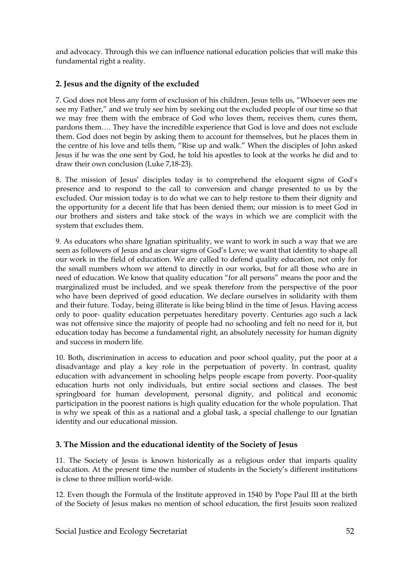and advocacy. Through this we can influence national education policies that will make this fundamental right a reality.

## **2. Jesus and the dignity of the excluded**

7. God does not bless any form of exclusion of his children. Jesus tells us, "Whoever sees me see my Father," and we truly see him by seeking out the excluded people of our time so that we may free them with the embrace of God who loves them, receives them, cures them, pardons them…. They have the incredible experience that God is love and does not exclude them. God does not begin by asking them to account for themselves, but he places them in the centre of his love and tells them, "Rise up and walk." When the disciples of John asked Jesus if he was the one sent by God, he told his apostles to look at the works he did and to draw their own conclusion (Luke 7,18-23).

8. The mission of Jesus' disciples today is to comprehend the eloquent signs of God's presence and to respond to the call to conversion and change presented to us by the excluded. Our mission today is to do what we can to help restore to them their dignity and the opportunity for a decent life that has been denied them; our mission is to meet God in our brothers and sisters and take stock of the ways in which we are complicit with the system that excludes them.

9. As educators who share Ignatian spirituality, we want to work in such a way that we are seen as followers of Jesus and as clear signs of God's Love; we want that identity to shape all our work in the field of education. We are called to defend quality education, not only for the small numbers whom we attend to directly in our works, but for all those who are in need of education. We know that quality education "for all persons" means the poor and the marginalized must be included, and we speak therefore from the perspective of the poor who have been deprived of good education. We declare ourselves in solidarity with them and their future. Today, being illiterate is like being blind in the time of Jesus. Having access only to poor- quality education perpetuates hereditary poverty. Centuries ago such a lack was not offensive since the majority of people had no schooling and felt no need for it, but education today has become a fundamental right, an absolutely necessity for human dignity and success in modern life.

10. Both, discrimination in access to education and poor school quality, put the poor at a disadvantage and play a key role in the perpetuation of poverty. In contrast, quality education with advancement in schooling helps people escape from poverty. Poor-quality education hurts not only individuals, but entire social sections and classes. The best springboard for human development, personal dignity, and political and economic participation in the poorest nations is high quality education for the whole population. That is why we speak of this as a national and a global task, a special challenge to our Ignatian identity and our educational mission.

## **3. The Mission and the educational identity of the Society of Jesus**

11. The Society of Jesus is known historically as a religious order that imparts quality education. At the present time the number of students in the Society's different institutions is close to three million world-wide.

12. Even though the Formula of the Institute approved in 1540 by Pope Paul III at the birth of the Society of Jesus makes no mention of school education, the first Jesuits soon realized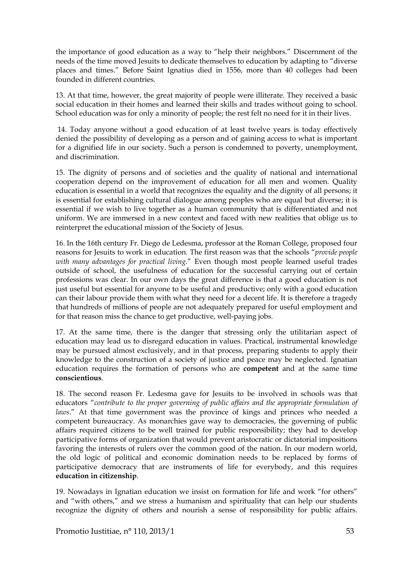the importance of good education as a way to "help their neighbors." Discernment of the needs of the time moved Jesuits to dedicate themselves to education by adapting to "diverse places and times." Before Saint Ignatius died in 1556, more than 40 colleges had been founded in different countries.

13. At that time, however, the great majority of people were illiterate. They received a basic social education in their homes and learned their skills and trades without going to school. School education was for only a minority of people; the rest felt no need for it in their lives.

 14. Today anyone without a good education of at least twelve years is today effectively denied the possibility of developing as a person and of gaining access to what is important for a dignified life in our society. Such a person is condemned to poverty, unemployment, and discrimination.

15. The dignity of persons and of societies and the quality of national and international cooperation depend on the improvement of education for all men and women. Quality education is essential in a world that recognizes the equality and the dignity of all persons; it is essential for establishing cultural dialogue among peoples who are equal but diverse; it is essential if we wish to live together as a human community that is differentiated and not uniform. We are immersed in a new context and faced with new realities that oblige us to reinterpret the educational mission of the Society of Jesus.

16. In the 16th century Fr. Diego de Ledesma, professor at the Roman College, proposed four reasons for Jesuits to work in education. The first reason was that the schools "*provide people with many advantages for practical living*." Even though most people learned useful trades outside of school, the usefulness of education for the successful carrying out of certain professions was clear. In our own days the great difference is that a good education is not just useful but essential for anyone to be useful and productive; only with a good education can their labour provide them with what they need for a decent life. It is therefore a tragedy that hundreds of millions of people are not adequately prepared for useful employment and for that reason miss the chance to get productive, well-paying jobs.

17. At the same time, there is the danger that stressing only the utilitarian aspect of education may lead us to disregard education in values. Practical, instrumental knowledge may be pursued almost exclusively, and in that process, preparing students to apply their knowledge to the construction of a society of justice and peace may be neglected. Ignatian education requires the formation of persons who are **competent** and at the same time **conscientious**.

18. The second reason Fr. Ledesma gave for Jesuits to be involved in schools was that educators "*contribute to the proper governing of public affairs and the appropriate formulation of laws*." At that time government was the province of kings and princes who needed a competent bureaucracy. As monarchies gave way to democracies, the governing of public affairs required citizens to be well trained for public responsibility; they had to develop participative forms of organization that would prevent aristocratic or dictatorial impositions favoring the interests of rulers over the common good of the nation. In our modern world, the old logic of political and economic domination needs to be replaced by forms of participative democracy that are instruments of life for everybody, and this requires **education in citizenship**.

19. Nowadays in Ignatian education we insist on formation for life and work "for others" and "with others," and we stress a humanism and spirituality that can help our students recognize the dignity of others and nourish a sense of responsibility for public affairs.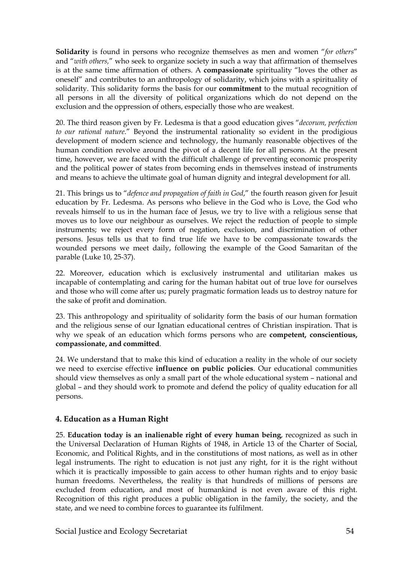**Solidarity** is found in persons who recognize themselves as men and women "*for others*" and "*with others,*" who seek to organize society in such a way that affirmation of themselves is at the same time affirmation of others. A **compassionate** spirituality "loves the other as oneself" and contributes to an anthropology of solidarity, which joins with a spirituality of solidarity. This solidarity forms the basis for our **commitment** to the mutual recognition of all persons in all the diversity of political organizations which do not depend on the exclusion and the oppression of others, especially those who are weakest.

20. The third reason given by Fr. Ledesma is that a good education gives "*decorum, perfection to our rational nature*." Beyond the instrumental rationality so evident in the prodigious development of modern science and technology, the humanly reasonable objectives of the human condition revolve around the pivot of a decent life for all persons. At the present time, however, we are faced with the difficult challenge of preventing economic prosperity and the political power of states from becoming ends in themselves instead of instruments and means to achieve the ultimate goal of human dignity and integral development for all.

21. This brings us to "*defence and propagation of faith in God*," the fourth reason given for Jesuit education by Fr. Ledesma. As persons who believe in the God who is Love, the God who reveals himself to us in the human face of Jesus, we try to live with a religious sense that moves us to love our neighbour as ourselves. We reject the reduction of people to simple instruments; we reject every form of negation, exclusion, and discrimination of other persons. Jesus tells us that to find true life we have to be compassionate towards the wounded persons we meet daily, following the example of the Good Samaritan of the parable (Luke 10, 25-37).

22. Moreover, education which is exclusively instrumental and utilitarian makes us incapable of contemplating and caring for the human habitat out of true love for ourselves and those who will come after us; purely pragmatic formation leads us to destroy nature for the sake of profit and domination.

23. This anthropology and spirituality of solidarity form the basis of our human formation and the religious sense of our Ignatian educational centres of Christian inspiration. That is why we speak of an education which forms persons who are **competent, conscientious, compassionate, and committed**.

24. We understand that to make this kind of education a reality in the whole of our society we need to exercise effective **influence on public policies**. Our educational communities should view themselves as only a small part of the whole educational system – national and global – and they should work to promote and defend the policy of quality education for all persons.

#### **4. Education as a Human Right**

25. **Education today is an inalienable right of every human being**, recognized as such in the Universal Declaration of Human Rights of 1948, in Article 13 of the Charter of Social, Economic, and Political Rights, and in the constitutions of most nations, as well as in other legal instruments. The right to education is not just any right, for it is the right without which it is practically impossible to gain access to other human rights and to enjoy basic human freedoms. Nevertheless, the reality is that hundreds of millions of persons are excluded from education, and most of humankind is not even aware of this right. Recognition of this right produces a public obligation in the family, the society, and the state, and we need to combine forces to guarantee its fulfilment.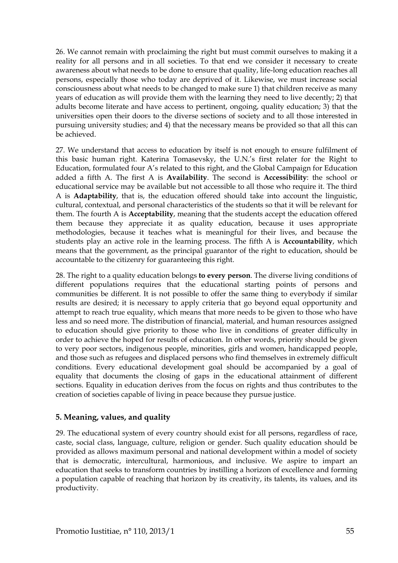26. We cannot remain with proclaiming the right but must commit ourselves to making it a reality for all persons and in all societies. To that end we consider it necessary to create awareness about what needs to be done to ensure that quality, life-long education reaches all persons, especially those who today are deprived of it. Likewise, we must increase social consciousness about what needs to be changed to make sure 1) that children receive as many years of education as will provide them with the learning they need to live decently; 2) that adults become literate and have access to pertinent, ongoing, quality education; 3) that the universities open their doors to the diverse sections of society and to all those interested in pursuing university studies; and 4) that the necessary means be provided so that all this can be achieved.

27. We understand that access to education by itself is not enough to ensure fulfilment of this basic human right. Katerina Tomasevsky, the U.N.'s first relater for the Right to Education, formulated four A's related to this right, and the Global Campaign for Education added a fifth A. The first A is **Availability**. The second is **Accessibility**: the school or educational service may be available but not accessible to all those who require it. The third A is **Adaptability**, that is, the education offered should take into account the linguistic, cultural, contextual, and personal characteristics of the students so that it will be relevant for them. The fourth A is **Acceptability**, meaning that the students accept the education offered them because they appreciate it as quality education, because it uses appropriate methodologies, because it teaches what is meaningful for their lives, and because the students play an active role in the learning process. The fifth A is **Accountability**, which means that the government, as the principal guarantor of the right to education, should be accountable to the citizenry for guaranteeing this right.

28. The right to a quality education belongs **to every person**. The diverse living conditions of different populations requires that the educational starting points of persons and communities be different. It is not possible to offer the same thing to everybody if similar results are desired; it is necessary to apply criteria that go beyond equal opportunity and attempt to reach true equality, which means that more needs to be given to those who have less and so need more. The distribution of financial, material, and human resources assigned to education should give priority to those who live in conditions of greater difficulty in order to achieve the hoped for results of education. In other words, priority should be given to very poor sectors, indigenous people, minorities, girls and women, handicapped people, and those such as refugees and displaced persons who find themselves in extremely difficult conditions. Every educational development goal should be accompanied by a goal of equality that documents the closing of gaps in the educational attainment of different sections. Equality in education derives from the focus on rights and thus contributes to the creation of societies capable of living in peace because they pursue justice.

#### **5. Meaning, values, and quality**

29. The educational system of every country should exist for all persons, regardless of race, caste, social class, language, culture, religion or gender. Such quality education should be provided as allows maximum personal and national development within a model of society that is democratic, intercultural, harmonious, and inclusive. We aspire to impart an education that seeks to transform countries by instilling a horizon of excellence and forming a population capable of reaching that horizon by its creativity, its talents, its values, and its productivity.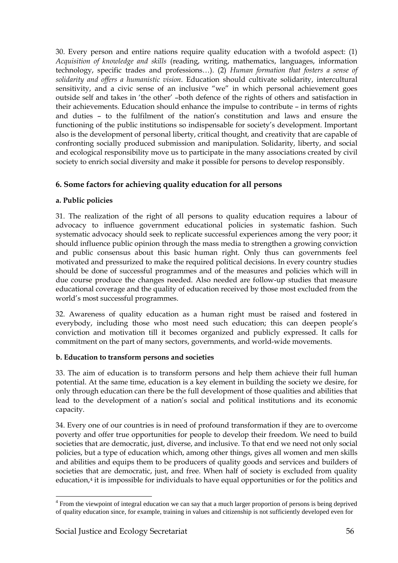30. Every person and entire nations require quality education with a twofold aspect: (1) *Acquisition of knowledge and skills* (reading, writing, mathematics, languages, information technology, specific trades and professions…). (2) *Human formation that fosters a sense of solidarity and offers a humanistic vision*. Education should cultivate solidarity, intercultural sensitivity, and a civic sense of an inclusive "we" in which personal achievement goes outside self and takes in 'the other' –both defence of the rights of others and satisfaction in their achievements. Education should enhance the impulse to contribute – in terms of rights and duties – to the fulfilment of the nation's constitution and laws and ensure the functioning of the public institutions so indispensable for society's development. Important also is the development of personal liberty, critical thought, and creativity that are capable of confronting socially produced submission and manipulation. Solidarity, liberty, and social and ecological responsibility move us to participate in the many associations created by civil society to enrich social diversity and make it possible for persons to develop responsibly.

#### **6. Some factors for achieving quality education for all persons**

#### **a. Public policies**

31. The realization of the right of all persons to quality education requires a labour of advocacy to influence government educational policies in systematic fashion. Such systematic advocacy should seek to replicate successful experiences among the very poor; it should influence public opinion through the mass media to strengthen a growing conviction and public consensus about this basic human right. Only thus can governments feel motivated and pressurized to make the required political decisions. In every country studies should be done of successful programmes and of the measures and policies which will in due course produce the changes needed. Also needed are follow-up studies that measure educational coverage and the quality of education received by those most excluded from the world's most successful programmes.

32. Awareness of quality education as a human right must be raised and fostered in everybody, including those who most need such education; this can deepen people's conviction and motivation till it becomes organized and publicly expressed. It calls for commitment on the part of many sectors, governments, and world-wide movements.

#### **b. Education to transform persons and societies**

33. The aim of education is to transform persons and help them achieve their full human potential. At the same time, education is a key element in building the society we desire, for only through education can there be the full development of those qualities and abilities that lead to the development of a nation's social and political institutions and its economic capacity.

34. Every one of our countries is in need of profound transformation if they are to overcome poverty and offer true opportunities for people to develop their freedom. We need to build societies that are democratic, just, diverse, and inclusive. To that end we need not only social policies, but a type of education which, among other things, gives all women and men skills and abilities and equips them to be producers of quality goods and services and builders of societies that are democratic, just, and free. When half of society is excluded from quality education,[4](#page-55-0) it is impossible for individuals to have equal opportunities or for the politics and

l

<span id="page-55-0"></span><sup>&</sup>lt;sup>4</sup> From the viewpoint of integral education we can say that a much larger proportion of persons is being deprived of quality education since, for example, training in values and citizenship is not sufficiently developed even for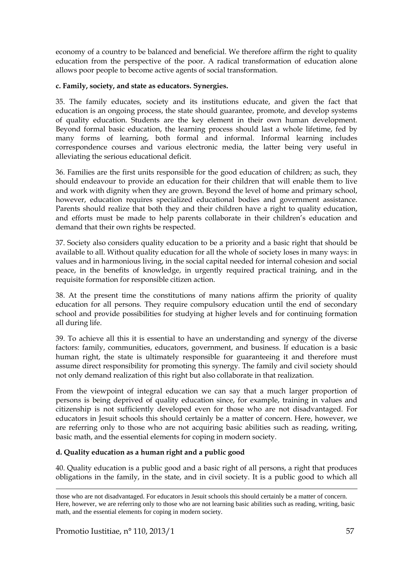economy of a country to be balanced and beneficial. We therefore affirm the right to quality education from the perspective of the poor. A radical transformation of education alone allows poor people to become active agents of social transformation.

#### **c. Family, society, and state as educators. Synergies.**

35. The family educates, society and its institutions educate, and given the fact that education is an ongoing process, the state should guarantee, promote, and develop systems of quality education. Students are the key element in their own human development. Beyond formal basic education, the learning process should last a whole lifetime, fed by many forms of learning, both formal and informal. Informal learning includes correspondence courses and various electronic media, the latter being very useful in alleviating the serious educational deficit.

36. Families are the first units responsible for the good education of children; as such, they should endeavour to provide an education for their children that will enable them to live and work with dignity when they are grown. Beyond the level of home and primary school, however, education requires specialized educational bodies and government assistance. Parents should realize that both they and their children have a right to quality education, and efforts must be made to help parents collaborate in their children's education and demand that their own rights be respected.

37. Society also considers quality education to be a priority and a basic right that should be available to all. Without quality education for all the whole of society loses in many ways: in values and in harmonious living, in the social capital needed for internal cohesion and social peace, in the benefits of knowledge, in urgently required practical training, and in the requisite formation for responsible citizen action.

38. At the present time the constitutions of many nations affirm the priority of quality education for all persons. They require compulsory education until the end of secondary school and provide possibilities for studying at higher levels and for continuing formation all during life.

39. To achieve all this it is essential to have an understanding and synergy of the diverse factors: family, communities, educators, government, and business. If education is a basic human right, the state is ultimately responsible for guaranteeing it and therefore must assume direct responsibility for promoting this synergy. The family and civil society should not only demand realization of this right but also collaborate in that realization.

From the viewpoint of integral education we can say that a much larger proportion of persons is being deprived of quality education since, for example, training in values and citizenship is not sufficiently developed even for those who are not disadvantaged. For educators in Jesuit schools this should certainly be a matter of concern. Here, however, we are referring only to those who are not acquiring basic abilities such as reading, writing, basic math, and the essential elements for coping in modern society.

#### **d. Quality education as a human right and a public good**

40. Quality education is a public good and a basic right of all persons, a right that produces obligations in the family, in the state, and in civil society. It is a public good to which all

 $\overline{\phantom{a}}$ 

those who are not disadvantaged. For educators in Jesuit schools this should certainly be a matter of concern. Here, however, we are referring only to those who are not learning basic abilities such as reading, writing, basic math, and the essential elements for coping in modern society.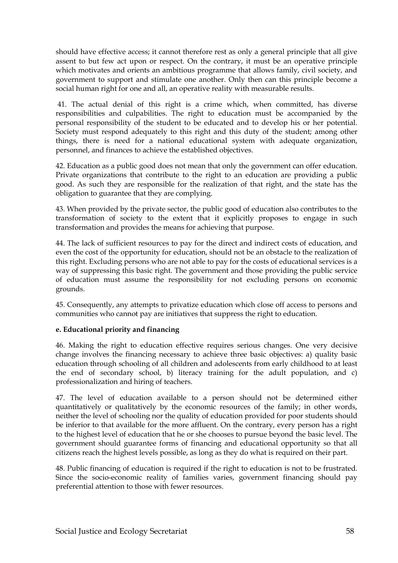should have effective access; it cannot therefore rest as only a general principle that all give assent to but few act upon or respect. On the contrary, it must be an operative principle which motivates and orients an ambitious programme that allows family, civil society, and government to support and stimulate one another. Only then can this principle become a social human right for one and all, an operative reality with measurable results.

41. The actual denial of this right is a crime which, when committed, has diverse responsibilities and culpabilities. The right to education must be accompanied by the personal responsibility of the student to be educated and to develop his or her potential. Society must respond adequately to this right and this duty of the student; among other things, there is need for a national educational system with adequate organization, personnel, and finances to achieve the established objectives.

42. Education as a public good does not mean that only the government can offer education. Private organizations that contribute to the right to an education are providing a public good. As such they are responsible for the realization of that right, and the state has the obligation to guarantee that they are complying.

43. When provided by the private sector, the public good of education also contributes to the transformation of society to the extent that it explicitly proposes to engage in such transformation and provides the means for achieving that purpose.

44. The lack of sufficient resources to pay for the direct and indirect costs of education, and even the cost of the opportunity for education, should not be an obstacle to the realization of this right. Excluding persons who are not able to pay for the costs of educational services is a way of suppressing this basic right. The government and those providing the public service of education must assume the responsibility for not excluding persons on economic grounds.

45. Consequently, any attempts to privatize education which close off access to persons and communities who cannot pay are initiatives that suppress the right to education.

#### **e. Educational priority and financing**

46. Making the right to education effective requires serious changes. One very decisive change involves the financing necessary to achieve three basic objectives: a) quality basic education through schooling of all children and adolescents from early childhood to at least the end of secondary school, b) literacy training for the adult population, and c) professionalization and hiring of teachers.

47. The level of education available to a person should not be determined either quantitatively or qualitatively by the economic resources of the family; in other words, neither the level of schooling nor the quality of education provided for poor students should be inferior to that available for the more affluent. On the contrary, every person has a right to the highest level of education that he or she chooses to pursue beyond the basic level. The government should guarantee forms of financing and educational opportunity so that all citizens reach the highest levels possible, as long as they do what is required on their part.

48. Public financing of education is required if the right to education is not to be frustrated. Since the socio-economic reality of families varies, government financing should pay preferential attention to those with fewer resources.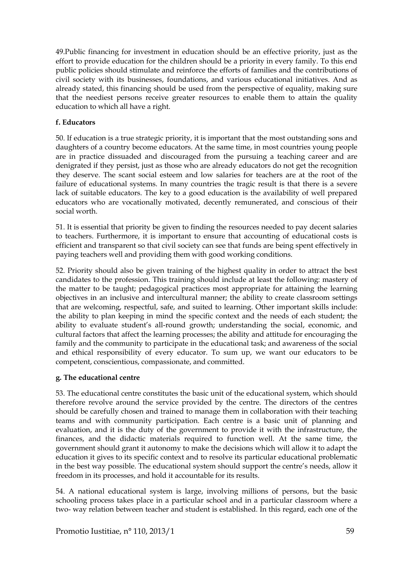49.Public financing for investment in education should be an effective priority, just as the effort to provide education for the children should be a priority in every family. To this end public policies should stimulate and reinforce the efforts of families and the contributions of civil society with its businesses, foundations, and various educational initiatives. And as already stated, this financing should be used from the perspective of equality, making sure that the neediest persons receive greater resources to enable them to attain the quality education to which all have a right.

#### **f. Educators**

50. If education is a true strategic priority, it is important that the most outstanding sons and daughters of a country become educators. At the same time, in most countries young people are in practice dissuaded and discouraged from the pursuing a teaching career and are denigrated if they persist, just as those who are already educators do not get the recognition they deserve. The scant social esteem and low salaries for teachers are at the root of the failure of educational systems. In many countries the tragic result is that there is a severe lack of suitable educators. The key to a good education is the availability of well prepared educators who are vocationally motivated, decently remunerated, and conscious of their social worth.

51. It is essential that priority be given to finding the resources needed to pay decent salaries to teachers. Furthermore, it is important to ensure that accounting of educational costs is efficient and transparent so that civil society can see that funds are being spent effectively in paying teachers well and providing them with good working conditions.

52. Priority should also be given training of the highest quality in order to attract the best candidates to the profession. This training should include at least the following: mastery of the matter to be taught; pedagogical practices most appropriate for attaining the learning objectives in an inclusive and intercultural manner; the ability to create classroom settings that are welcoming, respectful, safe, and suited to learning. Other important skills include: the ability to plan keeping in mind the specific context and the needs of each student; the ability to evaluate student's all-round growth; understanding the social, economic, and cultural factors that affect the learning processes; the ability and attitude for encouraging the family and the community to participate in the educational task; and awareness of the social and ethical responsibility of every educator. To sum up, we want our educators to be competent, conscientious, compassionate, and committed.

#### **g. The educational centre**

53. The educational centre constitutes the basic unit of the educational system, which should therefore revolve around the service provided by the centre. The directors of the centres should be carefully chosen and trained to manage them in collaboration with their teaching teams and with community participation. Each centre is a basic unit of planning and evaluation, and it is the duty of the government to provide it with the infrastructure, the finances, and the didactic materials required to function well. At the same time, the government should grant it autonomy to make the decisions which will allow it to adapt the education it gives to its specific context and to resolve its particular educational problematic in the best way possible. The educational system should support the centre's needs, allow it freedom in its processes, and hold it accountable for its results.

54. A national educational system is large, involving millions of persons, but the basic schooling process takes place in a particular school and in a particular classroom where a two- way relation between teacher and student is established. In this regard, each one of the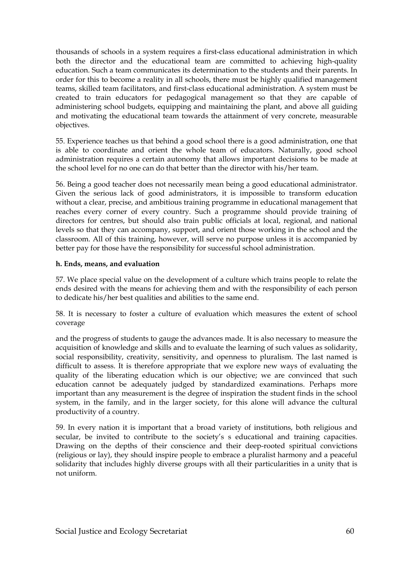thousands of schools in a system requires a first-class educational administration in which both the director and the educational team are committed to achieving high-quality education. Such a team communicates its determination to the students and their parents. In order for this to become a reality in all schools, there must be highly qualified management teams, skilled team facilitators, and first-class educational administration. A system must be created to train educators for pedagogical management so that they are capable of administering school budgets, equipping and maintaining the plant, and above all guiding and motivating the educational team towards the attainment of very concrete, measurable objectives.

55. Experience teaches us that behind a good school there is a good administration, one that is able to coordinate and orient the whole team of educators. Naturally, good school administration requires a certain autonomy that allows important decisions to be made at the school level for no one can do that better than the director with his/her team.

56. Being a good teacher does not necessarily mean being a good educational administrator. Given the serious lack of good administrators, it is impossible to transform education without a clear, precise, and ambitious training programme in educational management that reaches every corner of every country. Such a programme should provide training of directors for centres, but should also train public officials at local, regional, and national levels so that they can accompany, support, and orient those working in the school and the classroom. All of this training, however, will serve no purpose unless it is accompanied by better pay for those have the responsibility for successful school administration.

#### **h. Ends, means, and evaluation**

57. We place special value on the development of a culture which trains people to relate the ends desired with the means for achieving them and with the responsibility of each person to dedicate his/her best qualities and abilities to the same end.

58. It is necessary to foster a culture of evaluation which measures the extent of school coverage

and the progress of students to gauge the advances made. It is also necessary to measure the acquisition of knowledge and skills and to evaluate the learning of such values as solidarity, social responsibility, creativity, sensitivity, and openness to pluralism. The last named is difficult to assess. It is therefore appropriate that we explore new ways of evaluating the quality of the liberating education which is our objective; we are convinced that such education cannot be adequately judged by standardized examinations. Perhaps more important than any measurement is the degree of inspiration the student finds in the school system, in the family, and in the larger society, for this alone will advance the cultural productivity of a country.

59. In every nation it is important that a broad variety of institutions, both religious and secular, be invited to contribute to the society's s educational and training capacities. Drawing on the depths of their conscience and their deep-rooted spiritual convictions (religious or lay), they should inspire people to embrace a pluralist harmony and a peaceful solidarity that includes highly diverse groups with all their particularities in a unity that is not uniform.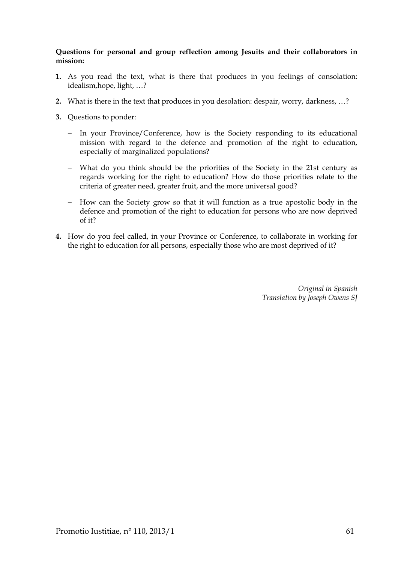#### **Questions for personal and group reflection among Jesuits and their collaborators in mission:**

- **1.** As you read the text, what is there that produces in you feelings of consolation: idealism,hope, light, …?
- **2.** What is there in the text that produces in you desolation: despair, worry, darkness, …?
- **3.** Questions to ponder:
	- − In your Province/Conference, how is the Society responding to its educational mission with regard to the defence and promotion of the right to education, especially of marginalized populations?
	- − What do you think should be the priorities of the Society in the 21st century as regards working for the right to education? How do those priorities relate to the criteria of greater need, greater fruit, and the more universal good?
	- − How can the Society grow so that it will function as a true apostolic body in the defence and promotion of the right to education for persons who are now deprived of it?
- **4.** How do you feel called, in your Province or Conference, to collaborate in working for the right to education for all persons, especially those who are most deprived of it?

*Original in Spanish Translation by Joseph Owens SJ*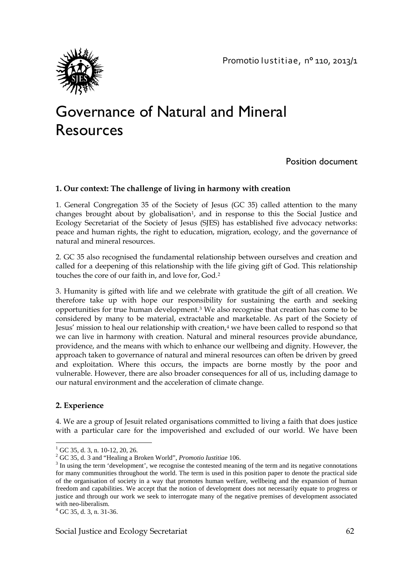

# Governance of Natural and Mineral Resources

## Position document

#### **1. Our context: The challenge of living in harmony with creation**

1. General Congregation 35 of the Society of Jesus (GC 35) called attention to the many changes brought about by globalisation<sup>[1](#page-61-0)</sup>, and in response to this the Social Justice and Ecology Secretariat of the Society of Jesus (SJES) has established five advocacy networks: peace and human rights, the right to education, migration, ecology, and the governance of natural and mineral resources.

2. GC 35 also recognised the fundamental relationship between ourselves and creation and called for a deepening of this relationship with the life giving gift of God. This relationship touches the core of our faith in, and love for, God.[2](#page-61-1)

3. Humanity is gifted with life and we celebrate with gratitude the gift of all creation. We therefore take up with hope our responsibility for sustaining the earth and seeking opportunities for true human development.[3](#page-61-2) We also recognise that creation has come to be considered by many to be material, extractable and marketable. As part of the Society of Jesus' mission to heal our relationship with creation,<sup>[4](#page-61-3)</sup> we have been called to respond so that we can live in harmony with creation. Natural and mineral resources provide abundance, providence, and the means with which to enhance our wellbeing and dignity. However, the approach taken to governance of natural and mineral resources can often be driven by greed and exploitation. Where this occurs, the impacts are borne mostly by the poor and vulnerable. However, there are also broader consequences for all of us, including damage to our natural environment and the acceleration of climate change.

#### **2. Experience**

4. We are a group of Jesuit related organisations committed to living a faith that does justice with a particular care for the impoverished and excluded of our world. We have been

 $^{1}$  GC 35, d. 3, n. 10-12, 20, 26.

<span id="page-61-2"></span>

<span id="page-61-1"></span><span id="page-61-0"></span><sup>&</sup>lt;sup>2</sup> GC 35, d. 3 and "Healing a Broken World", *Promotio Iustitiae* 106. <sup>3</sup> In using the term 'development', we recognise the contested meaning of the term and its negative connotations for many communities throughout the world. The term is used in this position paper to denote the practical side of the organisation of society in a way that promotes human welfare, wellbeing and the expansion of human freedom and capabilities. We accept that the notion of development does not necessarily equate to progress or justice and through our work we seek to interrogate many of the negative premises of development associated with neo-liberalism.<br> $4 \text{ GC } 35$ , d. 3, n. 31-36.

<span id="page-61-3"></span>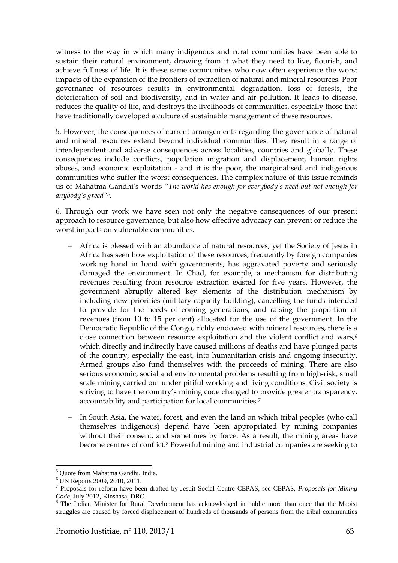witness to the way in which many indigenous and rural communities have been able to sustain their natural environment, drawing from it what they need to live, flourish, and achieve fullness of life. It is these same communities who now often experience the worst impacts of the expansion of the frontiers of extraction of natural and mineral resources. Poor governance of resources results in environmental degradation, loss of forests, the deterioration of soil and biodiversity, and in water and air pollution. It leads to disease, reduces the quality of life, and destroys the livelihoods of communities, especially those that have traditionally developed a culture of sustainable management of these resources.

5. However, the consequences of current arrangements regarding the governance of natural and mineral resources extend beyond individual communities. They result in a range of interdependent and adverse consequences across localities, countries and globally. These consequences include conflicts, population migration and displacement, human rights abuses, and economic exploitation - and it is the poor, the marginalised and indigenous communities who suffer the worst consequences. The complex nature of this issue reminds us of Mahatma Gandhi's words *"The world has enough for everybody's need but not enough for anybody's greed"[5](#page-62-0).* 

6. Through our work we have seen not only the negative consequences of our present approach to resource governance, but also how effective advocacy can prevent or reduce the worst impacts on vulnerable communities.

- Africa is blessed with an abundance of natural resources, yet the Society of Jesus in Africa has seen how exploitation of these resources, frequently by foreign companies working hand in hand with governments, has aggravated poverty and seriously damaged the environment. In Chad, for example, a mechanism for distributing revenues resulting from resource extraction existed for five years. However, the government abruptly altered key elements of the distribution mechanism by including new priorities (military capacity building), cancelling the funds intended to provide for the needs of coming generations, and raising the proportion of revenues (from 10 to 15 per cent) allocated for the use of the government. In the Democratic Republic of the Congo, richly endowed with mineral resources, there is a close connection between resource exploitation and the violent conflict and wars,<sup>[6](#page-62-1)</sup> which directly and indirectly have caused millions of deaths and have plunged parts of the country, especially the east, into humanitarian crisis and ongoing insecurity. Armed groups also fund themselves with the proceeds of mining. There are also serious economic, social and environmental problems resulting from high-risk, small scale mining carried out under pitiful working and living conditions. Civil society is striving to have the country's mining code changed to provide greater transparency, accountability and participation for local communities.[7](#page-62-2)
- In South Asia, the water, forest, and even the land on which tribal peoples (who call themselves indigenous) depend have been appropriated by mining companies without their consent, and sometimes by force. As a result, the mining areas have become centres of conflict.[8](#page-62-3) Powerful mining and industrial companies are seeking to

 $\overline{\phantom{a}}$ <sup>5</sup> Quote from Mahatma Gandhi, India.

<span id="page-62-1"></span><span id="page-62-0"></span> $^6$  UN Reports 2009, 2010, 2011.

<span id="page-62-2"></span><sup>7</sup> Proposals for reform have been drafted by Jesuit Social Centre CEPAS, see CEPAS, *Proposals for Mining* 

<span id="page-62-3"></span>The Indian Minister for Rural Development has acknowledged in public more than once that the Maoist struggles are caused by forced displacement of hundreds of thousands of persons from the tribal communities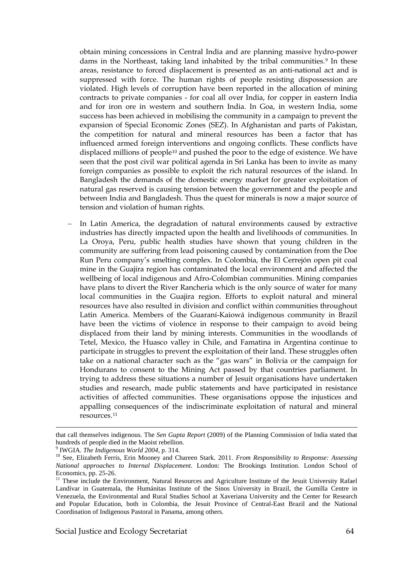obtain mining concessions in Central India and are planning massive hydro-power dams in the Northeast, taking land inhabited by the tribal communities.<sup>[9](#page-63-0)</sup> In these areas, resistance to forced displacement is presented as an anti-national act and is suppressed with force. The human rights of people resisting dispossession are violated. High levels of corruption have been reported in the allocation of mining contracts to private companies - for coal all over India, for copper in eastern India and for iron ore in western and southern India. In Goa, in western India, some success has been achieved in mobilising the community in a campaign to prevent the expansion of Special Economic Zones (SEZ). In Afghanistan and parts of Pakistan, the competition for natural and mineral resources has been a factor that has influenced armed foreign interventions and ongoing conflicts. These conflicts have displaced millions of people[10](#page-63-1) and pushed the poor to the edge of existence. We have seen that the post civil war political agenda in Sri Lanka has been to invite as many foreign companies as possible to exploit the rich natural resources of the island. In Bangladesh the demands of the domestic energy market for greater exploitation of natural gas reserved is causing tension between the government and the people and between India and Bangladesh. Thus the quest for minerals is now a major source of tension and violation of human rights.

In Latin America, the degradation of natural environments caused by extractive industries has directly impacted upon the health and livelihoods of communities. In La Oroya, Peru, public health studies have shown that young children in the community are suffering from lead poisoning caused by contamination from the Doe Run Peru company's smelting complex. In Colombia, the El Cerrejón open pit coal mine in the Guajira region has contaminated the local environment and affected the wellbeing of local indigenous and Afro-Colombian communities. Mining companies have plans to divert the River Rancheria which is the only source of water for many local communities in the Guajira region. Efforts to exploit natural and mineral resources have also resulted in division and conflict within communities throughout Latin America. Members of the Guaraní-Kaiowá indigenous community in Brazil have been the victims of violence in response to their campaign to avoid being displaced from their land by mining interests. Communities in the woodlands of Tetel, Mexico, the Huasco valley in Chile, and Famatina in Argentina continue to participate in struggles to prevent the exploitation of their land. These struggles often take on a national character such as the "gas wars" in Bolivia or the campaign for Hondurans to consent to the Mining Act passed by that countries parliament. In trying to address these situations a number of Jesuit organisations have undertaken studies and research, made public statements and have participated in resistance activities of affected communities. These organisations oppose the injustices and appalling consequences of the indiscriminate exploitation of natural and mineral resources.[11](#page-63-2) 

l

that call themselves indigenous. The *Sen Gupta Report* (2009) of the Planning Commission of India stated that hundreds of people died in the Maoist rebellion.<br><sup>9</sup> IWGIA. *The Indigenous World 2004*, p. 314.

<span id="page-63-0"></span>

<span id="page-63-1"></span><sup>&</sup>lt;sup>10</sup> See, Elizabeth Ferris, Erin Mooney and Chareen Stark. 2011. *From Responsibility to Response: Assessing National approaches to Internal Displacement*. London: The Brookings Institution. London School of

<span id="page-63-2"></span><sup>&</sup>lt;sup>11</sup> These include the Environment, Natural Resources and Agriculture Institute of the Jesuit University Rafael Landívar in Guatemala, the Humánitas Institute of the Sinos University in Brazil, the Gumilla Centre in Venezuela, the Environmental and Rural Studies School at Xaveriana University and the Center for Research and Popular Education, both in Colombia, the Jesuit Province of Central-East Brazil and the National Coordination of Indigenous Pastoral in Panama, among others.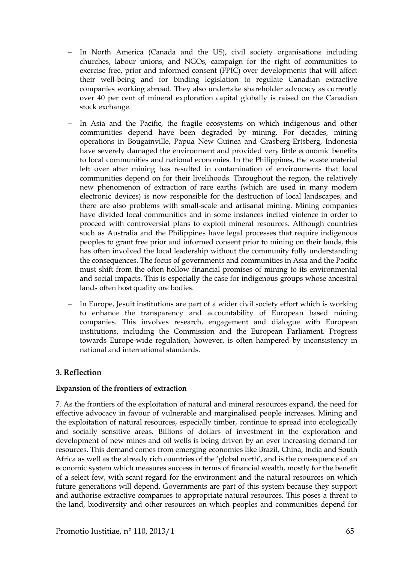- In North America (Canada and the US), civil society organisations including churches, labour unions, and NGOs, campaign for the right of communities to exercise free, prior and informed consent (FPIC) over developments that will affect their well-being and for binding legislation to regulate Canadian extractive companies working abroad. They also undertake shareholder advocacy as currently over 40 per cent of mineral exploration capital globally is raised on the Canadian stock exchange.
- In Asia and the Pacific, the fragile ecosystems on which indigenous and other communities depend have been degraded by mining. For decades, mining operations in Bougainville, Papua New Guinea and Grasberg-Ertsberg, Indonesia have severely damaged the environment and provided very little economic benefits to local communities and national economies. In the Philippines, the waste material left over after mining has resulted in contamination of environments that local communities depend on for their livelihoods. Throughout the region, the relatively new phenomenon of extraction of rare earths (which are used in many modern electronic devices) is now responsible for the destruction of local landscapes, and there are also problems with small-scale and artisanal mining. Mining companies have divided local communities and in some instances incited violence in order to proceed with controversial plans to exploit mineral resources. Although countries such as Australia and the Philippines have legal processes that require indigenous peoples to grant free prior and informed consent prior to mining on their lands, this has often involved the local leadership without the community fully understanding the consequences. The focus of governments and communities in Asia and the Pacific must shift from the often hollow financial promises of mining to its environmental and social impacts. This is especially the case for indigenous groups whose ancestral lands often host quality ore bodies.
- In Europe, Jesuit institutions are part of a wider civil society effort which is working to enhance the transparency and accountability of European based mining companies. This involves research, engagement and dialogue with European institutions, including the Commission and the European Parliament. Progress towards Europe-wide regulation, however, is often hampered by inconsistency in national and international standards.

#### **3. Reflection**

#### **Expansion of the frontiers of extraction**

7. As the frontiers of the exploitation of natural and mineral resources expand, the need for effective advocacy in favour of vulnerable and marginalised people increases. Mining and the exploitation of natural resources, especially timber, continue to spread into ecologically and socially sensitive areas. Billions of dollars of investment in the exploration and development of new mines and oil wells is being driven by an ever increasing demand for resources. This demand comes from emerging economies like Brazil, China, India and South Africa as well as the already rich countries of the 'global north', and is the consequence of an economic system which measures success in terms of financial wealth, mostly for the benefit of a select few, with scant regard for the environment and the natural resources on which future generations will depend. Governments are part of this system because they support and authorise extractive companies to appropriate natural resources. This poses a threat to the land, biodiversity and other resources on which peoples and communities depend for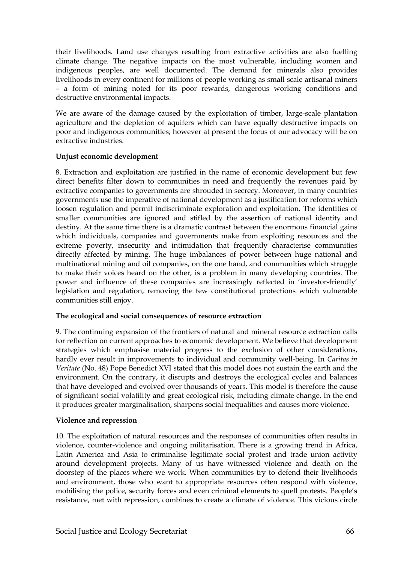their livelihoods. Land use changes resulting from extractive activities are also fuelling climate change. The negative impacts on the most vulnerable, including women and indigenous peoples, are well documented. The demand for minerals also provides livelihoods in every continent for millions of people working as small scale artisanal miners – a form of mining noted for its poor rewards, dangerous working conditions and destructive environmental impacts.

We are aware of the damage caused by the exploitation of timber, large-scale plantation agriculture and the depletion of aquifers which can have equally destructive impacts on poor and indigenous communities; however at present the focus of our advocacy will be on extractive industries.

#### **Unjust economic development**

8. Extraction and exploitation are justified in the name of economic development but few direct benefits filter down to communities in need and frequently the revenues paid by extractive companies to governments are shrouded in secrecy. Moreover, in many countries governments use the imperative of national development as a justification for reforms which loosen regulation and permit indiscriminate exploration and exploitation. The identities of smaller communities are ignored and stifled by the assertion of national identity and destiny. At the same time there is a dramatic contrast between the enormous financial gains which individuals, companies and governments make from exploiting resources and the extreme poverty, insecurity and intimidation that frequently characterise communities directly affected by mining. The huge imbalances of power between huge national and multinational mining and oil companies, on the one hand, and communities which struggle to make their voices heard on the other, is a problem in many developing countries. The power and influence of these companies are increasingly reflected in 'investor-friendly' legislation and regulation, removing the few constitutional protections which vulnerable communities still enjoy.

#### **The ecological and social consequences of resource extraction**

9. The continuing expansion of the frontiers of natural and mineral resource extraction calls for reflection on current approaches to economic development. We believe that development strategies which emphasise material progress to the exclusion of other considerations, hardly ever result in improvements to individual and community well-being. In *Caritas in Veritate* (No. 48) Pope Benedict XVI stated that this model does not sustain the earth and the environment. On the contrary, it disrupts and destroys the ecological cycles and balances that have developed and evolved over thousands of years. This model is therefore the cause of significant social volatility and great ecological risk, including climate change. In the end it produces greater marginalisation, sharpens social inequalities and causes more violence.

#### **Violence and repression**

10. The exploitation of natural resources and the responses of communities often results in violence, counter-violence and ongoing militarisation. There is a growing trend in Africa, Latin America and Asia to criminalise legitimate social protest and trade union activity around development projects. Many of us have witnessed violence and death on the doorstep of the places where we work. When communities try to defend their livelihoods and environment, those who want to appropriate resources often respond with violence, mobilising the police, security forces and even criminal elements to quell protests. People's resistance, met with repression, combines to create a climate of violence. This vicious circle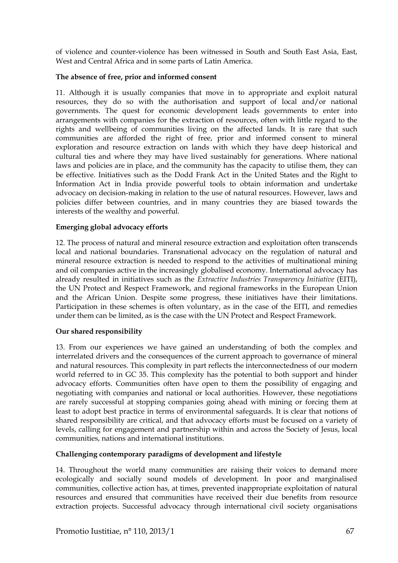of violence and counter-violence has been witnessed in South and South East Asia, East, West and Central Africa and in some parts of Latin America.

#### **The absence of free, prior and informed consent**

11. Although it is usually companies that move in to appropriate and exploit natural resources, they do so with the authorisation and support of local and/or national governments. The quest for economic development leads governments to enter into arrangements with companies for the extraction of resources, often with little regard to the rights and wellbeing of communities living on the affected lands. It is rare that such communities are afforded the right of free, prior and informed consent to mineral exploration and resource extraction on lands with which they have deep historical and cultural ties and where they may have lived sustainably for generations. Where national laws and policies are in place, and the community has the capacity to utilise them, they can be effective. Initiatives such as the Dodd Frank Act in the United States and the Right to Information Act in India provide powerful tools to obtain information and undertake advocacy on decision-making in relation to the use of natural resources. However, laws and policies differ between countries, and in many countries they are biased towards the interests of the wealthy and powerful.

#### **Emerging global advocacy efforts**

12. The process of natural and mineral resource extraction and exploitation often transcends local and national boundaries. Transnational advocacy on the regulation of natural and mineral resource extraction is needed to respond to the activities of multinational mining and oil companies active in the increasingly globalised economy. International advocacy has already resulted in initiatives such as the *Extractive Industries Transparency Initiative* (EITI), the UN Protect and Respect Framework, and regional frameworks in the European Union and the African Union. Despite some progress, these initiatives have their limitations. Participation in these schemes is often voluntary, as in the case of the EITI, and remedies under them can be limited, as is the case with the UN Protect and Respect Framework.

#### **Our shared responsibility**

13. From our experiences we have gained an understanding of both the complex and interrelated drivers and the consequences of the current approach to governance of mineral and natural resources. This complexity in part reflects the interconnectedness of our modern world referred to in GC 35. This complexity has the potential to both support and hinder advocacy efforts. Communities often have open to them the possibility of engaging and negotiating with companies and national or local authorities. However, these negotiations are rarely successful at stopping companies going ahead with mining or forcing them at least to adopt best practice in terms of environmental safeguards. It is clear that notions of shared responsibility are critical, and that advocacy efforts must be focused on a variety of levels, calling for engagement and partnership within and across the Society of Jesus, local communities, nations and international institutions.

#### **Challenging contemporary paradigms of development and lifestyle**

14. Throughout the world many communities are raising their voices to demand more ecologically and socially sound models of development. In poor and marginalised communities, collective action has, at times, prevented inappropriate exploitation of natural resources and ensured that communities have received their due benefits from resource extraction projects. Successful advocacy through international civil society organisations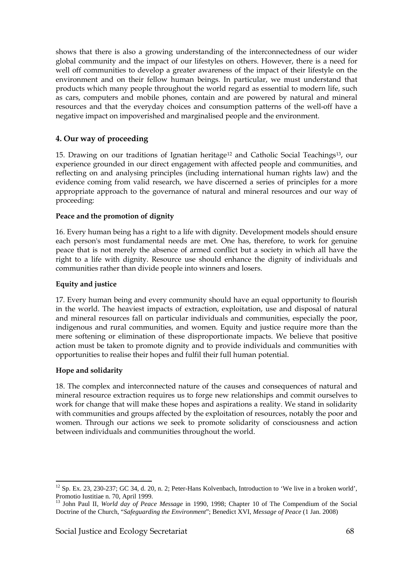shows that there is also a growing understanding of the interconnectedness of our wider global community and the impact of our lifestyles on others. However, there is a need for well off communities to develop a greater awareness of the impact of their lifestyle on the environment and on their fellow human beings. In particular, we must understand that products which many people throughout the world regard as essential to modern life, such as cars, computers and mobile phones, contain and are powered by natural and mineral resources and that the everyday choices and consumption patterns of the well-off have a negative impact on impoverished and marginalised people and the environment.

### **4. Our way of proceeding**

15. Drawing on our traditions of Ignatian heritage[12](#page-67-0) and Catholic Social Teachings[13](#page-67-1), our experience grounded in our direct engagement with affected people and communities, and reflecting on and analysing principles (including international human rights law) and the evidence coming from valid research, we have discerned a series of principles for a more appropriate approach to the governance of natural and mineral resources and our way of proceeding:

#### **Peace and the promotion of dignity**

16. Every human being has a right to a life with dignity. Development models should ensure each person's most fundamental needs are met. One has, therefore, to work for genuine peace that is not merely the absence of armed conflict but a society in which all have the right to a life with dignity. Resource use should enhance the dignity of individuals and communities rather than divide people into winners and losers.

#### **Equity and justice**

17. Every human being and every community should have an equal opportunity to flourish in the world. The heaviest impacts of extraction, exploitation, use and disposal of natural and mineral resources fall on particular individuals and communities, especially the poor, indigenous and rural communities, and women. Equity and justice require more than the mere softening or elimination of these disproportionate impacts. We believe that positive action must be taken to promote dignity and to provide individuals and communities with opportunities to realise their hopes and fulfil their full human potential.

#### **Hope and solidarity**

 $\overline{a}$ 

18. The complex and interconnected nature of the causes and consequences of natural and mineral resource extraction requires us to forge new relationships and commit ourselves to work for change that will make these hopes and aspirations a reality. We stand in solidarity with communities and groups affected by the exploitation of resources, notably the poor and women. Through our actions we seek to promote solidarity of consciousness and action between individuals and communities throughout the world.

<span id="page-67-0"></span> $12$  Sp. Ex. 23, 230-237; GC 34, d. 20, n. 2; Peter-Hans Kolvenbach, Introduction to 'We live in a broken world', Promotio Iustitiae n. 70, April 1999.

<span id="page-67-1"></span><sup>13</sup> John Paul II, *World day of Peace Message* in 1990, 1998; Chapter 10 of The Compendium of the Social Doctrine of the Church, "*Safeguarding the Environment*"; Benedict XVI, *Message of Peace* (1 Jan. 2008)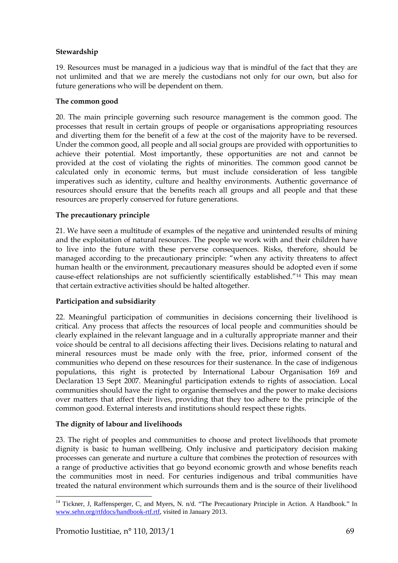#### **Stewardship**

19. Resources must be managed in a judicious way that is mindful of the fact that they are not unlimited and that we are merely the custodians not only for our own, but also for future generations who will be dependent on them.

#### **The common good**

20. The main principle governing such resource management is the common good. The processes that result in certain groups of people or organisations appropriating resources and diverting them for the benefit of a few at the cost of the majority have to be reversed. Under the common good, all people and all social groups are provided with opportunities to achieve their potential. Most importantly, these opportunities are not and cannot be provided at the cost of violating the rights of minorities. The common good cannot be calculated only in economic terms, but must include consideration of less tangible imperatives such as identity, culture and healthy environments. Authentic governance of resources should ensure that the benefits reach all groups and all people and that these resources are properly conserved for future generations.

#### **The precautionary principle**

21. We have seen a multitude of examples of the negative and unintended results of mining and the exploitation of natural resources. The people we work with and their children have to live into the future with these perverse consequences. Risks, therefore, should be managed according to the precautionary principle: "when any activity threatens to affect human health or the environment, precautionary measures should be adopted even if some cause-effect relationships are not sufficiently scientifically established."[14](#page-68-0) This may mean that certain extractive activities should be halted altogether.

## **Participation and subsidiarity**

22. Meaningful participation of communities in decisions concerning their livelihood is critical. Any process that affects the resources of local people and communities should be clearly explained in the relevant language and in a culturally appropriate manner and their voice should be central to all decisions affecting their lives. Decisions relating to natural and mineral resources must be made only with the free, prior, informed consent of the communities who depend on these resources for their sustenance. In the case of indigenous populations, this right is protected by International Labour Organisation 169 and Declaration 13 Sept 2007. Meaningful participation extends to rights of association. Local communities should have the right to organise themselves and the power to make decisions over matters that affect their lives, providing that they too adhere to the principle of the common good. External interests and institutions should respect these rights.

## **The dignity of labour and livelihoods**

23. The right of peoples and communities to choose and protect livelihoods that promote dignity is basic to human wellbeing. Only inclusive and participatory decision making processes can generate and nurture a culture that combines the protection of resources with a range of productive activities that go beyond economic growth and whose benefits reach the communities most in need. For centuries indigenous and tribal communities have treated the natural environment which surrounds them and is the source of their livelihood

l

<span id="page-68-0"></span><sup>&</sup>lt;sup>14</sup> Tickner, J, Raffensperger, C, and Myers, N. n/d. "The Precautionary Principle in Action. A Handbook." In [www.sehn.org/rtfdocs/handbook-rtf.rtf](http://www.sehn.org/rtfdocs/handbook-rtf.rtf)*,* visited in January 2013.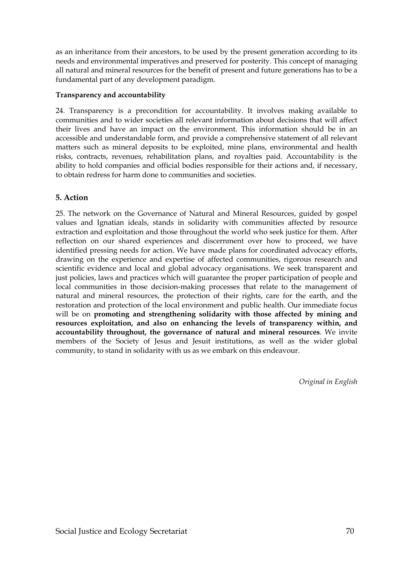as an inheritance from their ancestors, to be used by the present generation according to its needs and environmental imperatives and preserved for posterity. This concept of managing all natural and mineral resources for the benefit of present and future generations has to be a fundamental part of any development paradigm.

#### **Transparency and accountability**

24. Transparency is a precondition for accountability. It involves making available to communities and to wider societies all relevant information about decisions that will affect their lives and have an impact on the environment. This information should be in an accessible and understandable form, and provide a comprehensive statement of all relevant matters such as mineral deposits to be exploited, mine plans, environmental and health risks, contracts, revenues, rehabilitation plans, and royalties paid. Accountability is the ability to hold companies and official bodies responsible for their actions and, if necessary, to obtain redress for harm done to communities and societies.

#### **5. Action**

25. The network on the Governance of Natural and Mineral Resources, guided by gospel values and Ignatian ideals, stands in solidarity with communities affected by resource extraction and exploitation and those throughout the world who seek justice for them. After reflection on our shared experiences and discernment over how to proceed, we have identified pressing needs for action. We have made plans for coordinated advocacy efforts, drawing on the experience and expertise of affected communities, rigorous research and scientific evidence and local and global advocacy organisations. We seek transparent and just policies, laws and practices which will guarantee the proper participation of people and local communities in those decision-making processes that relate to the management of natural and mineral resources, the protection of their rights, care for the earth, and the restoration and protection of the local environment and public health. Our immediate focus will be on **promoting and strengthening solidarity with those affected by mining and resources exploitation, and also on enhancing the levels of transparency within, and accountability throughout, the governance of natural and mineral resources**. We invite members of the Society of Jesus and Jesuit institutions, as well as the wider global community, to stand in solidarity with us as we embark on this endeavour.

*Original in English*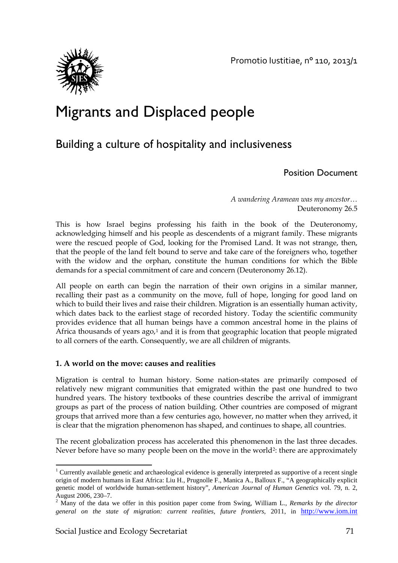

## Migrants and Displaced people

## Building a culture of hospitality and inclusiveness

## Position Document

*A wandering Aramean was my ancestor…* Deuteronomy 26.5

This is how Israel begins professing his faith in the book of the Deuteronomy, acknowledging himself and his people as descendents of a migrant family. These migrants were the rescued people of God, looking for the Promised Land. It was not strange, then, that the people of the land felt bound to serve and take care of the foreigners who, together with the widow and the orphan, constitute the human conditions for which the Bible demands for a special commitment of care and concern (Deuteronomy 26.12).

All people on earth can begin the narration of their own origins in a similar manner, recalling their past as a community on the move, full of hope, longing for good land on which to build their lives and raise their children. Migration is an essentially human activity, which dates back to the earliest stage of recorded history. Today the scientific community provides evidence that all human beings have a common ancestral home in the plains of Africa thousands of years  $ago<sub>i</sub>$  and it is from that geographic location that people migrated to all corners of the earth. Consequently, we are all children of migrants.

## **1. A world on the move: causes and realities**

Migration is central to human history. Some nation-states are primarily composed of relatively new migrant communities that emigrated within the past one hundred to two hundred years. The history textbooks of these countries describe the arrival of immigrant groups as part of the process of nation building. Other countries are composed of migrant groups that arrived more than a few centuries ago, however, no matter when they arrived, it is clear that the migration phenomenon has shaped, and continues to shape, all countries.

The recent globalization process has accelerated this phenomenon in the last three decades. Never before have so many people been on the move in the world<sup>2</sup>: there are approximately

 $\overline{\phantom{a}}$ 

<span id="page-70-0"></span> $1$  Currently available genetic and archaeological evidence is generally interpreted as supportive of a recent single origin of modern humans in East Africa: Liu H., Prugnolle F., Manica A., Balloux F., "A geographically explicit genetic model of worldwide human-settlement history", *American Journal of Human Genetics* vol. 79, n. 2, August 2006, 230–7.<br><sup>2</sup> Many of the data we offer in this activity.

<span id="page-70-1"></span>Many of the data we offer in this position paper come from Swing, William L., *Remarks by the director* general on the state of migration: current realities, future frontiers, 2011, in http://www.iom.int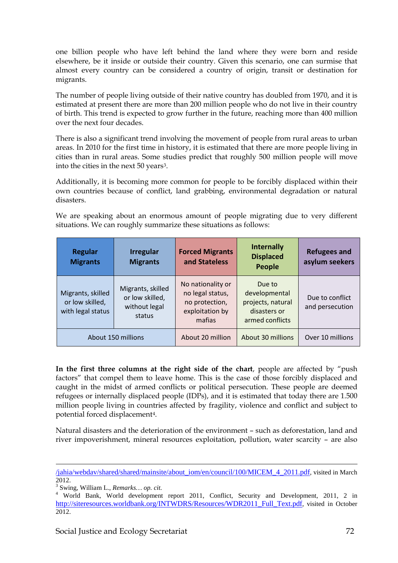one billion people who have left behind the land where they were born and reside elsewhere, be it inside or outside their country. Given this scenario, one can surmise that almost every country can be considered a country of origin, transit or destination for migrants.

The number of people living outside of their native country has doubled from 1970, and it is estimated at present there are more than 200 million people who do not live in their country of birth. This trend is expected to grow further in the future, reaching more than 400 million over the next four decades.

There is also a significant trend involving the movement of people from rural areas to urban areas. In 2010 for the first time in history, it is estimated that there are more people living in cities than in rural areas. Some studies predict that roughly 500 million people will move into the cities in the next 50 years[3.](#page-71-0)

Additionally, it is becoming more common for people to be forcibly displaced within their own countries because of conflict, land grabbing, environmental degradation or natural disasters.

We are speaking about an enormous amount of people migrating due to very different situations. We can roughly summarize these situations as follows:

| <b>Regular</b><br><b>Migrants</b>                         | <b>Irregular</b><br><b>Migrants</b>                             | <b>Forced Migrants</b><br>and Stateless                                              | <b>Internally</b><br><b>Displaced</b><br><b>People</b>                          | <b>Refugees and</b><br>asylum seekers |
|-----------------------------------------------------------|-----------------------------------------------------------------|--------------------------------------------------------------------------------------|---------------------------------------------------------------------------------|---------------------------------------|
| Migrants, skilled<br>or low skilled,<br>with legal status | Migrants, skilled<br>or low skilled,<br>without legal<br>status | No nationality or<br>no legal status,<br>no protection,<br>exploitation by<br>mafias | Due to<br>developmental<br>projects, natural<br>disasters or<br>armed conflicts | Due to conflict<br>and persecution    |
| About 150 millions                                        |                                                                 | About 20 million                                                                     | About 30 millions                                                               | Over 10 millions                      |

**In the first three columns at the right side of the chart**, people are affected by "push factors" that compel them to leave home. This is the case of those forcibly displaced and caught in the midst of armed conflicts or political persecution. These people are deemed refugees or internally displaced people (IDPs), and it is estimated that today there are 1.500 million people living in countries affected by fragility, violence and conflict and subject to potential forced displacement[4](#page-71-1).

Natural disasters and the deterioration of the environment – such as deforestation, land and river impoverishment, mineral resources exploitation, pollution, water scarcity – are also

 $\overline{\phantom{a}}$ 

<sup>/</sup>jahia/webdav/shared/shared/mainsite/about\_iom/en/council/100/MICEM\_4\_2011.pdf, visited in March 2012.<br><sup>3</sup> Swing, William L., *Remarks... op. cit.* 

<span id="page-71-1"></span><span id="page-71-0"></span><sup>&</sup>lt;sup>4</sup> World Bank, World development report 2011, Conflict, Security and Development, 2011, 2 in [http://siteresources.worldbank.org/INTWDRS/Resources/WDR2011\\_Full\\_Text.pdf,](http://siteresources.worldbank.org/INTWDRS/Resources/WDR2011_Full_Text.pdf) visited in October 2012.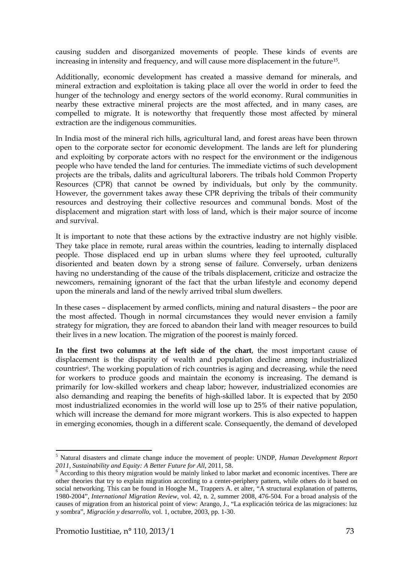causing sudden and disorganized movements of people. These kinds of events are increasing in intensity and frequency, and will cause more displacement in the future[1](#page-72-0)5.

Additionally, economic development has created a massive demand for minerals, and mineral extraction and exploitation is taking place all over the world in order to feed the hunger of the technology and energy sectors of the world economy. Rural communities in nearby these extractive mineral projects are the most affected, and in many cases, are compelled to migrate. It is noteworthy that frequently those most affected by mineral extraction are the indigenous communities.

In India most of the mineral rich hills, agricultural land, and forest areas have been thrown open to the corporate sector for economic development. The lands are left for plundering and exploiting by corporate actors with no respect for the environment or the indigenous people who have tended the land for centuries. The immediate victims of such development projects are the tribals, dalits and agricultural laborers. The tribals hold Common Property Resources (CPR) that cannot be owned by individuals, but only by the community. However, the government takes away these CPR depriving the tribals of their community resources and destroying their collective resources and communal bonds. Most of the displacement and migration start with loss of land, which is their major source of income and survival.

It is important to note that these actions by the extractive industry are not highly visible. They take place in remote, rural areas within the countries, leading to internally displaced people. Those displaced end up in urban slums where they feel uprooted, culturally disoriented and beaten down by a strong sense of failure. Conversely, urban denizens having no understanding of the cause of the tribals displacement, criticize and ostracize the newcomers, remaining ignorant of the fact that the urban lifestyle and economy depend upon the minerals and land of the newly arrived tribal slum dwellers.

In these cases – displacement by armed conflicts, mining and natural disasters – the poor are the most affected. Though in normal circumstances they would never envision a family strategy for migration, they are forced to abandon their land with meager resources to build their lives in a new location. The migration of the poorest is mainly forced.

**In the first two columns at the left side of the chart**, the most important cause of displacement is the disparity of wealth and population decline among industrialized countries[6](#page-72-1). The working population of rich countries is aging and decreasing, while the need for workers to produce goods and maintain the economy is increasing. The demand is primarily for low-skilled workers and cheap labor; however, industrialized economies are also demanding and reaping the benefits of high-skilled labor. It is expected that by 2050 most industrialized economies in the world will lose up to 25% of their native population, which will increase the demand for more migrant workers. This is also expected to happen in emerging economies, though in a different scale. Consequently, the demand of developed

l

<span id="page-72-0"></span><sup>5</sup> Natural disasters and climate change induce the movement of people: UNDP, *Human Development Report 2011, Sustainability and Equity: A Better Future for All,* 2011, 58.<br><sup>6</sup> According to this theory migration would be mainly linked to labor market and economic incentives. There are

<span id="page-72-1"></span>other theories that try to explain migration according to a center-periphery pattern, while others do it based on social networking. This can be found in Hooghe M., Trappers A. et alter, "A structural explanation of patterns, 1980-2004", *International Migration Review*, vol. 42, n. 2, summer 2008, 476-504. For a broad analysis of the causes of migration from an historical point of view: Arango, J., "La explicación teórica de las migraciones: luz y sombra", *Migración y desarrollo*, vol. 1, octubre, 2003, pp. 1-30.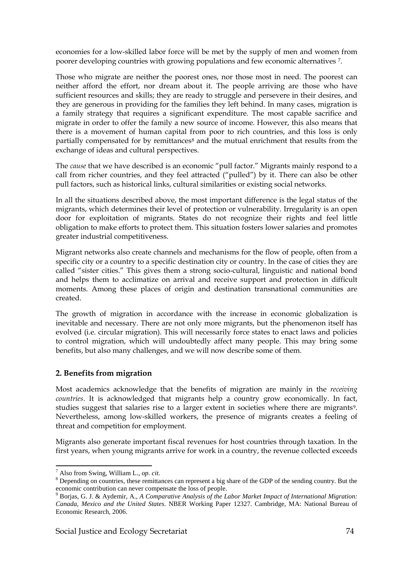economies for a low-skilled labor force will be met by the supply of men and women from poorer developing countries with growing populations and few economic alternatives [7.](#page-73-0)

Those who migrate are neither the poorest ones, nor those most in need. The poorest can neither afford the effort, nor dream about it. The people arriving are those who have sufficient resources and skills; they are ready to struggle and persevere in their desires, and they are generous in providing for the families they left behind. In many cases, migration is a family strategy that requires a significant expenditure. The most capable sacrifice and migrate in order to offer the family a new source of income. However, this also means that there is a movement of human capital from poor to rich countries, and this loss is only partially compensated for by remittances<sup>[8](#page-73-1)</sup> and the mutual enrichment that results from the exchange of ideas and cultural perspectives.

The *cause* that we have described is an economic "pull factor." Migrants mainly respond to a call from richer countries, and they feel attracted ("pulled") by it. There can also be other pull factors, such as historical links, cultural similarities or existing social networks.

In all the situations described above, the most important difference is the legal status of the migrants, which determines their level of protection or vulnerability. Irregularity is an open door for exploitation of migrants. States do not recognize their rights and feel little obligation to make efforts to protect them. This situation fosters lower salaries and promotes greater industrial competitiveness.

Migrant networks also create channels and mechanisms for the flow of people, often from a specific city or a country to a specific destination city or country. In the case of cities they are called "sister cities." This gives them a strong socio-cultural, linguistic and national bond and helps them to acclimatize on arrival and receive support and protection in difficult moments. Among these places of origin and destination transnational communities are created.

The growth of migration in accordance with the increase in economic globalization is inevitable and necessary. There are not only more migrants, but the phenomenon itself has evolved (i.e. circular migration). This will necessarily force states to enact laws and policies to control migration, which will undoubtedly affect many people. This may bring some benefits, but also many challenges, and we will now describe some of them.

#### **2. Benefits from migration**

Most academics acknowledge that the benefits of migration are mainly in the *receiving countries*. It is acknowledged that migrants help a country grow economically. In fact, studies suggest that salaries rise to a larger extent in societies where there are migrants<sup>9</sup>. Nevertheless, among low-skilled workers, the presence of migrants creates a feeling of threat and competition for employment.

Migrants also generate important fiscal revenues for host countries through taxation. In the first years, when young migrants arrive for work in a country, the revenue collected exceeds

<span id="page-73-0"></span> $^7$  Also from Swing, William L., op. cit.

<span id="page-73-1"></span><sup>&</sup>lt;sup>8</sup> Depending on countries, these remittances can represent a big share of the GDP of the sending country. But the economic contribution can never compensate the loss of people.

<span id="page-73-2"></span><sup>9</sup> Borjas, G. J. & Aydemir, A., *A Comparative Analysis of the Labor Market Impact of International Migration: Canada, Mexico and the United States*. NBER Working Paper 12327. Cambridge, MA: National Bureau of Economic Research, 2006.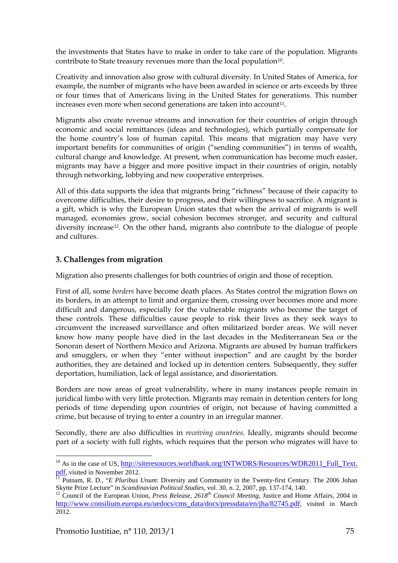the investments that States have to make in order to take care of the population. Migrants contribute to State treasury revenues more than the local population<sup>10</sup>.

Creativity and innovation also grow with cultural diversity. In United States of America, for example, the number of migrants who have been awarded in science or arts exceeds by three or four times that of Americans living in the United States for generations. This number increases even more when second generations are taken into account<sup>11</sup>.

Migrants also create revenue streams and innovation for their countries of origin through economic and social remittances (ideas and technologies), which partially compensate for the home country's loss of human capital. This means that migration may have very important benefits for communities of origin ("sending communities") in terms of wealth, cultural change and knowledge. At present, when communication has become much easier, migrants may have a bigger and more positive impact in their countries of origin, notably through networking, lobbying and new cooperative enterprises.

All of this data supports the idea that migrants bring "richness" because of their capacity to overcome difficulties, their desire to progress, and their willingness to sacrifice. A migrant is a gift, which is why the European Union states that when the arrival of migrants is well managed, economies grow, social cohesion becomes stronger, and security and cultural diversity increase<sup>12</sup>. On the other hand, migrants also contribute to the dialogue of people and cultures.

## **3. Challenges from migration**

Migration also presents challenges for both countries of origin and those of reception.

First of all, some *borders* have become death places. As States control the migration flows on its borders, in an attempt to limit and organize them, crossing over becomes more and more difficult and dangerous, especially for the vulnerable migrants who become the target of these controls. These difficulties cause people to risk their lives as they seek ways to circumvent the increased surveillance and often militarized border areas. We will never know how many people have died in the last decades in the Mediterranean Sea or the Sonoran desert of Northern Mexico and Arizona. Migrants are abused by human traffickers and smugglers, or when they "enter without inspection" and are caught by the border authorities, they are detained and locked up in detention centers. Subsequently, they suffer deportation, humiliation, lack of legal assistance, and disorientation.

Borders are now areas of great vulnerability, where in many instances people remain in juridical limbo with very little protection. Migrants may remain in detention centers for long periods of time depending upon countries of origin, not because of having committed a crime, but because of trying to enter a country in an irregular manner.

Secondly, there are also difficulties in *receiving countries*. Ideally, migrants should become part of a society with full rights, which requires that the person who migrates will have to

 $\overline{\phantom{a}}$ 

<span id="page-74-0"></span><sup>&</sup>lt;sup>10</sup> As in the case of US, <u>http://siteresources.worldbank.org/INTWDRS/Resources/WDR2011\_Full\_Text.<br>
<u>pdf</u>, visited in November 2012.<br>
<sup>11</sup> Dutnom, B. D. "E Blunibus Unum: Diversity and Community in the Trustational Centu</u>

<span id="page-74-1"></span> $\frac{11}{11}$  Putnam, R. D., "*E Pluribus Unum*: Diversity and Community in the Twenty-first Century. The 2006 Johan Skytte Prize Lecture" in *Scandinavian Political Studies*, vol. 30, n. 2, 2007, pp. 137-174, 140.

<span id="page-74-2"></span><sup>&</sup>lt;sup>12</sup> Council of the European Union, *Press Release, 2618<sup>th</sup> Council Meeting*, Justice and Home Affairs, 2004 in [http://www.consilium.europa.eu/uedocs/cms\\_data/docs/pressdata/en/jha/82745.pdf,](http://www.consilium.europa.eu/uedocs/cms_data/docs/pressdata/en/jha/82745.pdf) visited in March 2012.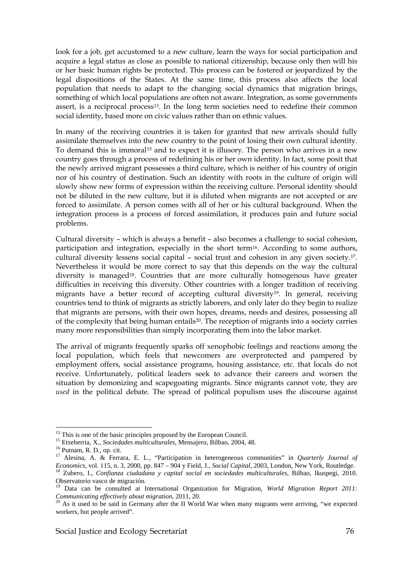look for a job, get accustomed to a new culture, learn the ways for social participation and acquire a legal status as close as possible to national citizenship, because only then will his or her basic human rights be protected. This process can be fostered or jeopardized by the legal dispositions of the States. At the same time, this process also affects the local population that needs to adapt to the changing social dynamics that migration brings, something of which local populations are often not aware. Integration, as some governments assert, is a reciprocal process<sup>[13](#page-75-0)</sup>. In the long term societies need to redefine their common social identity, based more on civic values rather than on ethnic values.

In many of the receiving countries it is taken for granted that new arrivals should fully assimilate themselves into the new country to the point of losing their own cultural identity. To demand this is immoral[15](#page-75-1) and to expect it is illusory. The person who arrives in a new country goes through a process of redefining his or her own identity. In fact, some posit that the newly arrived migrant possesses a third culture, which is neither of his country of origin nor of his country of destination. Such an identity with roots in the culture of origin will slowly show new forms of expression within the receiving culture. Personal identity should not be diluted in the new culture, but it is diluted when migrants are not accepted or are forced to assimilate. A person comes with all of her or his cultural background. When the integration process is a process of forced assimilation, it produces pain and future social problems.

Cultural diversity – which is always a benefit – also becomes a challenge to social cohesion, participation and integration, especially in the short term<sup>[16](#page-75-2)</sup>. According to some authors, cultural diversity lessens social capital – social trust and cohesion in any given society.[17.](#page-75-3) Nevertheless it would be more correct to say that this depends on the way the cultural diversity is managed<sup>[18](#page-75-4)</sup>. Countries that are more culturally homogenous have greater difficulties in receiving this diversity. Other countries with a longer tradition of receiving migrants have a better record of accepting cultural diversity<sup>19</sup>. In general, receiving countries tend to think of migrants as strictly laborers, and only later do they begin to realize that migrants are persons, with their own hopes, dreams, needs and desires, possessing all of the complexity that being human entails[20](#page-75-6). The reception of migrants into a society carries many more responsibilities than simply incorporating them into the labor market.

The arrival of migrants frequently sparks off xenophobic feelings and reactions among the local population, which feels that newcomers are overprotected and pampered by employment offers, social assistance programs, housing assistance, etc. that locals do not receive. Unfortunately, political leaders seek to advance their careers and worsen the situation by demonizing and scapegoating migrants. Since migrants cannot vote, they are *used* in the political debate. The spread of political populism uses the discourse against

l

<span id="page-75-1"></span>

<span id="page-75-3"></span><span id="page-75-2"></span>

<span id="page-75-0"></span><sup>&</sup>lt;sup>13</sup> This is one of the basic principles proposed by the European Council.<br><sup>15</sup> Etxeberria, X., *Sociedades multiculturales*, Mensajero, Bilbao, 2004, 48.<br><sup>16</sup> Putnam, R. D., op. cit.<br><sup>17</sup> Alesina, A. & Ferrara, E. L., "P <sup>18</sup> Zubero, I., Confianza ciudadana y capital social en sociedades multiculturales, Bilbao, Ikuspegi, 2010. Observatorio vasco de migración.

<span id="page-75-5"></span><span id="page-75-4"></span><sup>&</sup>lt;sup>19</sup> Data can be consulted at International Organization for Migration, *World Migration Report 2011: Communicating effectively about migration*, 2011, 20.

<span id="page-75-6"></span><sup>&</sup>lt;sup>20</sup> As it used to be said in Germany after the II World War when many migrants were arriving, "we expected workers, but people arrived".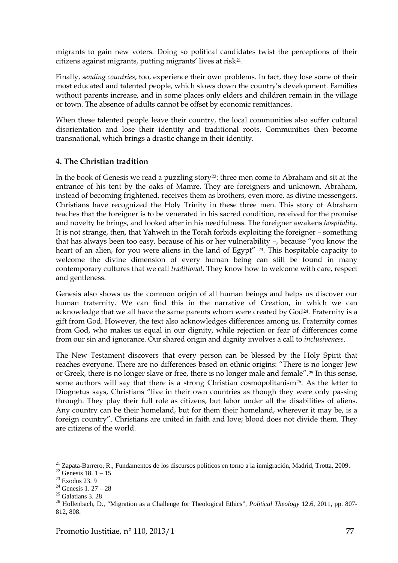migrants to gain new voters. Doing so political candidates twist the perceptions of their citizens against migrants, putting migrants' lives at risk[21.](#page-76-0)

Finally, *sending countries*, too, experience their own problems. In fact, they lose some of their most educated and talented people, which slows down the country's development. Families without parents increase, and in some places only elders and children remain in the village or town. The absence of adults cannot be offset by economic remittances.

When these talented people leave their country, the local communities also suffer cultural disorientation and lose their identity and traditional roots. Communities then become transnational, which brings a drastic change in their identity.

## **4. The Christian tradition**

In the book of Genesis we read a puzzling story<sup>22</sup>: three men come to Abraham and sit at the entrance of his tent by the oaks of Mamre. They are foreigners and unknown. Abraham, instead of becoming frightened, receives them as brothers, even more, as divine messengers. Christians have recognized the Holy Trinity in these three men. This story of Abraham teaches that the foreigner is to be venerated in his sacred condition, received for the promise and novelty he brings, and looked after in his needfulness. The foreigner awakens *hospitality*. It is not strange, then, that Yahweh in the Torah forbids exploiting the foreigner – something that has always been too easy, because of his or her vulnerability –, because "you know the heart of an alien, for you were aliens in the land of Egypt" [23.](#page-76-2) This hospitable capacity to welcome the divine dimension of every human being can still be found in many contemporary cultures that we call *traditional*. They know how to welcome with care, respect and gentleness.

Genesis also shows us the common origin of all human beings and helps us discover our human fraternity. We can find this in the narrative of Creation, in which we can acknowledge that we all have the same parents whom were created by God<sup>[24](#page-76-3)</sup>. Fraternity is a gift from God. However, the text also acknowledges differences among us. Fraternity comes from God, who makes us equal in our dignity, while rejection or fear of differences come from our sin and ignorance. Our shared origin and dignity involves a call to *inclusiveness*.

The New Testament discovers that every person can be blessed by the Holy Spirit that reaches everyone. There are no differences based on ethnic origins: "There is no longer Jew or Greek, there is no longer slave or free, there is no longer male and female".[25](#page-76-4) In this sense, some authors will say that there is a strong Christian cosmopolitanism<sup>26</sup>. As the letter to Diognetus says, Christians "live in their own countries as though they were only passing through. They play their full role as citizens, but labor under all the disabilities of aliens. Any country can be their homeland, but for them their homeland, wherever it may be, is a foreign country". Christians are united in faith and love; blood does not divide them. They are citizens of the world.

 $\overline{\phantom{a}}$ 

<span id="page-76-0"></span><sup>&</sup>lt;sup>21</sup> Zapata-Barrero, R., Fundamentos de los discursos políticos en torno a la inmigración, Madrid, Trotta, 2009.<br><sup>22</sup> Genesis 18. 1 – 15<br><sup>23</sup> Exodus 23. 9<br><sup>24</sup> Genesis 1. 27 – 28<br><sup>25</sup> Galatians 3. 28<br><sup>25</sup> Hollenbach, D.,

<span id="page-76-1"></span>

<span id="page-76-2"></span>

<span id="page-76-3"></span>

<span id="page-76-4"></span>

<span id="page-76-5"></span><sup>812, 808.</sup>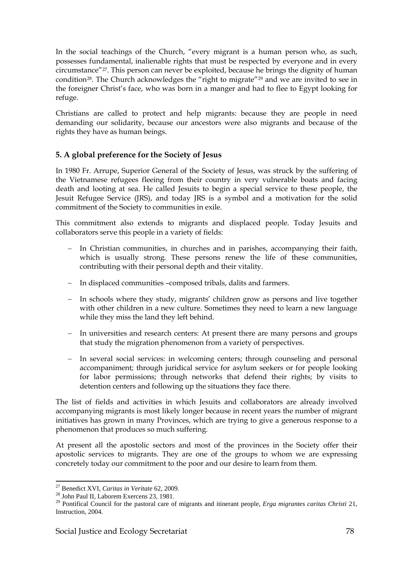In the social teachings of the Church, "every migrant is a human person who, as such, possesses fundamental, inalienable rights that must be respected by everyone and in every circumstance"[27](#page-77-0). This person can never be exploited, because he brings the dignity of human condition[28](#page-77-1). The Church acknowledges the "right to migrate"[29](#page-77-2) and we are invited to see in the foreigner Christ's face, who was born in a manger and had to flee to Egypt looking for refuge.

Christians are called to protect and help migrants: because they are people in need demanding our solidarity, because our ancestors were also migrants and because of the rights they have as human beings.

## **5. A global preference for the Society of Jesus**

In 1980 Fr. Arrupe, Superior General of the Society of Jesus, was struck by the suffering of the Vietnamese refugees fleeing from their country in very vulnerable boats and facing death and looting at sea. He called Jesuits to begin a special service to these people, the Jesuit Refugee Service (JRS), and today JRS is a symbol and a motivation for the solid commitment of the Society to communities in exile.

This commitment also extends to migrants and displaced people. Today Jesuits and collaborators serve this people in a variety of fields:

- In Christian communities, in churches and in parishes, accompanying their faith, which is usually strong. These persons renew the life of these communities, contributing with their personal depth and their vitality.
- − In displaced communities –composed tribals, dalits and farmers.
- − In schools where they study, migrants' children grow as persons and live together with other children in a new culture. Sometimes they need to learn a new language while they miss the land they left behind.
- − In universities and research centers: At present there are many persons and groups that study the migration phenomenon from a variety of perspectives.
- In several social services: in welcoming centers; through counseling and personal accompaniment; through juridical service for asylum seekers or for people looking for labor permissions; through networks that defend their rights; by visits to detention centers and following up the situations they face there.

The list of fields and activities in which Jesuits and collaborators are already involved accompanying migrants is most likely longer because in recent years the number of migrant initiatives has grown in many Provinces, which are trying to give a generous response to a phenomenon that produces so much suffering.

At present all the apostolic sectors and most of the provinces in the Society offer their apostolic services to migrants. They are one of the groups to whom we are expressing concretely today our commitment to the poor and our desire to learn from them.

<span id="page-77-0"></span><sup>&</sup>lt;sup>27</sup> Benedict XVI, Caritas in Veritate 62, 2009.

<span id="page-77-1"></span><sup>&</sup>lt;sup>28</sup> John Paul II, Laborem Exercens 23, 1981.

<span id="page-77-2"></span><sup>29</sup> Pontifical Council for the pastoral care of migrants and itinerant people, *Erga migrantes caritas Christi* 21, Instruction, 2004.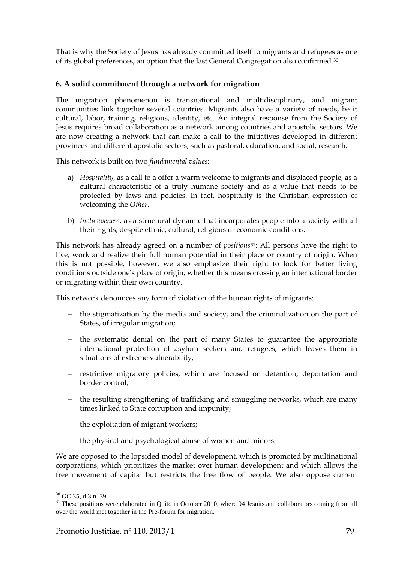That is why the Society of Jesus has already committed itself to migrants and refugees as one of its global preferences, an option that the last General Congregation also confirmed.[30](#page-78-0)

## **6. A solid commitment through a network for migration**

The migration phenomenon is transnational and multidisciplinary, and migrant communities link together several countries. Migrants also have a variety of needs, be it cultural, labor, training, religious, identity, etc. An integral response from the Society of Jesus requires broad collaboration as a network among countries and apostolic sectors. We are now creating a network that can make a call to the initiatives developed in different provinces and different apostolic sectors, such as pastoral, education, and social, research.

This network is built on two *fundamental values*:

- a) *Hospitality*, as a call to a offer a warm welcome to migrants and displaced people, as a cultural characteristic of a truly humane society and as a value that needs to be protected by laws and policies. In fact, hospitality is the Christian expression of welcoming the *Other*.
- b) *Inclusiveness*, as a structural dynamic that incorporates people into a society with all their rights, despite ethnic, cultural, religious or economic conditions.

This network has already agreed on a number of *positions*[31](#page-78-1): All persons have the right to live, work and realize their full human potential in their place or country of origin. When this is not possible, however, we also emphasize their right to look for better living conditions outside one's place of origin, whether this means crossing an international border or migrating within their own country.

This network denounces any form of violation of the human rights of migrants:

- − the stigmatization by the media and society, and the criminalization on the part of States, of irregular migration;
- − the systematic denial on the part of many States to guarantee the appropriate international protection of asylum seekers and refugees, which leaves them in situations of extreme vulnerability;
- − restrictive migratory policies, which are focused on detention, deportation and border control;
- − the resulting strengthening of trafficking and smuggling networks, which are many times linked to State corruption and impunity;
- − the exploitation of migrant workers;
- the physical and psychological abuse of women and minors.

We are opposed to the lopsided model of development, which is promoted by multinational corporations, which prioritizes the market over human development and which allows the free movement of capital but restricts the free flow of people. We also oppose current

 $30$  GC 35, d.3 n. 39.

<span id="page-78-1"></span><span id="page-78-0"></span> $31$  These positions were elaborated in Quito in October 2010, where 94 Jesuits and collaborators coming from all over the world met together in the Pre-forum for migration.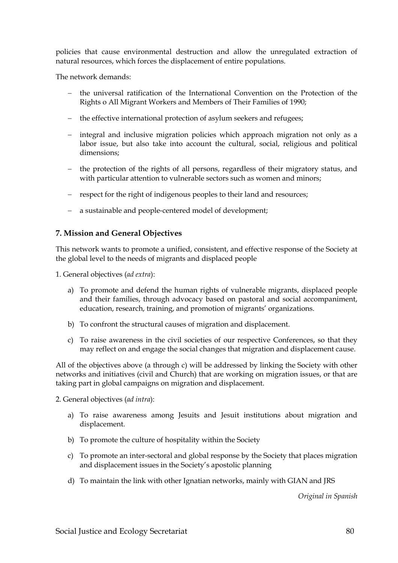policies that cause environmental destruction and allow the unregulated extraction of natural resources, which forces the displacement of entire populations.

The network demands:

- − the universal ratification of the International Convention on the Protection of the Rights o All Migrant Workers and Members of Their Families of 1990;
- − the effective international protection of asylum seekers and refugees;
- − integral and inclusive migration policies which approach migration not only as a labor issue, but also take into account the cultural, social, religious and political dimensions;
- − the protection of the rights of all persons, regardless of their migratory status, and with particular attention to vulnerable sectors such as women and minors;
- − respect for the right of indigenous peoples to their land and resources;
- − a sustainable and people‐centered model of development;

#### **7. Mission and General Objectives**

This network wants to promote a unified, consistent, and effective response of the Society at the global level to the needs of migrants and displaced people

1. General objectives (*ad extra*):

- a) To promote and defend the human rights of vulnerable migrants, displaced people and their families, through advocacy based on pastoral and social accompaniment, education, research, training, and promotion of migrants' organizations.
- b) To confront the structural causes of migration and displacement.
- c) To raise awareness in the civil societies of our respective Conferences, so that they may reflect on and engage the social changes that migration and displacement cause.

All of the objectives above (a through c) will be addressed by linking the Society with other networks and initiatives (civil and Church) that are working on migration issues, or that are taking part in global campaigns on migration and displacement.

2. General objectives (*ad intra*):

- a) To raise awareness among Jesuits and Jesuit institutions about migration and displacement.
- b) To promote the culture of hospitality within the Society
- c) To promote an inter-sectoral and global response by the Society that places migration and displacement issues in the Society's apostolic planning
- d) To maintain the link with other Ignatian networks, mainly with GIAN and JRS

*Original in Spanish*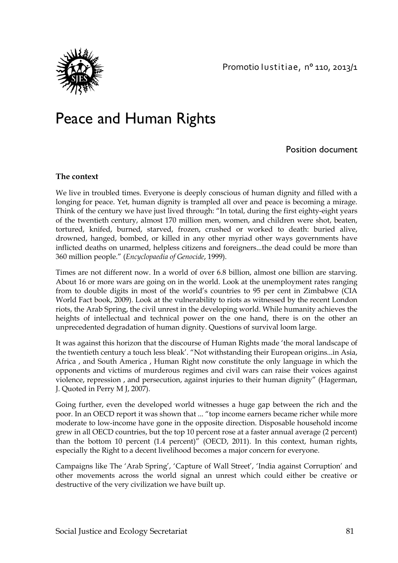

# Peace and Human Rights

Position document

#### **The context**

We live in troubled times. Everyone is deeply conscious of human dignity and filled with a longing for peace. Yet, human dignity is trampled all over and peace is becoming a mirage. Think of the century we have just lived through: "In total, during the first eighty-eight years of the twentieth century, almost 170 million men, women, and children were shot, beaten, tortured, knifed, burned, starved, frozen, crushed or worked to death: buried alive, drowned, hanged, bombed, or killed in any other myriad other ways governments have inflicted deaths on unarmed, helpless citizens and foreigners...the dead could be more than 360 million people." (*Encyclopaedia of Genocide*, 1999).

Times are not different now. In a world of over 6.8 billion, almost one billion are starving. About 16 or more wars are going on in the world. Look at the unemployment rates ranging from to double digits in most of the world's countries to 95 per cent in Zimbabwe (CIA World Fact book, 2009). Look at the vulnerability to riots as witnessed by the recent London riots, the Arab Spring, the civil unrest in the developing world. While humanity achieves the heights of intellectual and technical power on the one hand, there is on the other an unprecedented degradation of human dignity. Questions of survival loom large.

It was against this horizon that the discourse of Human Rights made 'the moral landscape of the twentieth century a touch less bleak'. "Not withstanding their European origins...in Asia, Africa , and South America , Human Right now constitute the only language in which the opponents and victims of murderous regimes and civil wars can raise their voices against violence, repression , and persecution, against injuries to their human dignity" (Hagerman, J. Quoted in Perry M J, 2007).

Going further, even the developed world witnesses a huge gap between the rich and the poor. In an OECD report it was shown that ... "top income earners became richer while more moderate to low-income have gone in the opposite direction. Disposable household income grew in all OECD countries, but the top 10 percent rose at a faster annual average (2 percent) than the bottom 10 percent (1.4 percent)" (OECD, 2011). In this context, human rights, especially the Right to a decent livelihood becomes a major concern for everyone.

Campaigns like The 'Arab Spring', 'Capture of Wall Street', 'India against Corruption' and other movements across the world signal an unrest which could either be creative or destructive of the very civilization we have built up.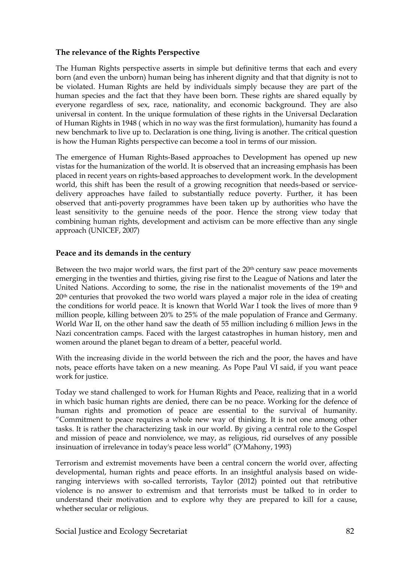#### **The relevance of the Rights Perspective**

The Human Rights perspective asserts in simple but definitive terms that each and every born (and even the unborn) human being has inherent dignity and that that dignity is not to be violated. Human Rights are held by individuals simply because they are part of the human species and the fact that they have been born. These rights are shared equally by everyone regardless of sex, race, nationality, and economic background. They are also universal in content. In the unique formulation of these rights in the Universal Declaration of Human Rights in 1948 ( which in no way was the first formulation), humanity has found a new benchmark to live up to. Declaration is one thing, living is another. The critical question is how the Human Rights perspective can become a tool in terms of our mission.

The emergence of Human Rights-Based approaches to Development has opened up new vistas for the humanization of the world. It is observed that an increasing emphasis has been placed in recent years on rights-based approaches to development work. In the development world, this shift has been the result of a growing recognition that needs-based or servicedelivery approaches have failed to substantially reduce poverty. Further, it has been observed that anti-poverty programmes have been taken up by authorities who have the least sensitivity to the genuine needs of the poor. Hence the strong view today that combining human rights, development and activism can be more effective than any single approach (UNICEF, 2007)

#### **Peace and its demands in the century**

Between the two major world wars, the first part of the 20<sup>th</sup> century saw peace movements emerging in the twenties and thirties, giving rise first to the League of Nations and later the United Nations. According to some, the rise in the nationalist movements of the 19th and 20<sup>th</sup> centuries that provoked the two world wars played a major role in the idea of creating the conditions for world peace. It is known that World War I took the lives of more than 9 million people, killing between 20% to 25% of the male population of France and Germany. World War II, on the other hand saw the death of 55 million including 6 million Jews in the Nazi concentration camps. Faced with the largest catastrophes in human history, men and women around the planet began to dream of a better, peaceful world.

With the increasing divide in the world between the rich and the poor, the haves and have nots, peace efforts have taken on a new meaning. As Pope Paul VI said, if you want peace work for justice.

Today we stand challenged to work for Human Rights and Peace, realizing that in a world in which basic human rights are denied, there can be no peace. Working for the defence of human rights and promotion of peace are essential to the survival of humanity. "Commitment to peace requires a whole new way of thinking. It is not one among other tasks. It is rather the characterizing task in our world. By giving a central role to the Gospel and mission of peace and nonviolence, we may, as religious, rid ourselves of any possible insinuation of irrelevance in today's peace less world" (O'Mahony, 1993)

Terrorism and extremist movements have been a central concern the world over, affecting developmental, human rights and peace efforts. In an insightful analysis based on wideranging interviews with so-called terrorists, Taylor (2012) pointed out that retributive violence is no answer to extremism and that terrorists must be talked to in order to understand their motivation and to explore why they are prepared to kill for a cause, whether secular or religious.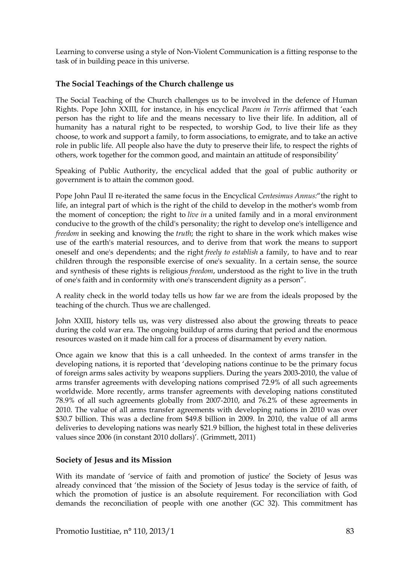Learning to converse using a style of Non-Violent Communication is a fitting response to the task of in building peace in this universe.

## **The Social Teachings of the Church challenge us**

The Social Teaching of the Church challenges us to be involved in the defence of Human Rights. Pope John XXIII, for instance, in his encyclical *Pacem in Terris* affirmed that 'each person has the right to life and the means necessary to live their life. In addition, all of humanity has a natural right to be respected, to worship God, to live their life as they choose, to work and support a family, to form associations, to emigrate, and to take an active role in public life. All people also have the duty to preserve their life, to respect the rights of others, work together for the common good, and maintain an attitude of responsibility'

Speaking of Public Authority, the encyclical added that the goal of public authority or government is to attain the common good.

Pope John Paul II re-iterated the same focus in the Encyclical *Centesimus Annus:*"the right to life, an integral part of which is the right of the child to develop in the mother's womb from the moment of conception; the right to *live in* a united family and in a moral environment conducive to the growth of the child's personality; the right to develop one's intelligence and *freedom* in seeking and knowing the *truth*; the right to share in the work which makes wise use of the earth's material resources, and to derive from that work the means to support oneself and one's dependents; and the right *freely to establish* a family, to have and to rear children through the responsible exercise of one's sexuality. In a certain sense, the source and synthesis of these rights is religious *freedom*, understood as the right to live in the truth of one's faith and in conformity with one's transcendent dignity as a person".

A reality check in the world today tells us how far we are from the ideals proposed by the teaching of the church. Thus we are challenged.

John XXIII, history tells us, was very distressed also about the growing threats to peace during the cold war era. The ongoing buildup of arms during that period and the enormous resources wasted on it made him call for a process of disarmament by every nation.

Once again we know that this is a call unheeded. In the context of arms transfer in the developing nations, it is reported that 'developing nations continue to be the primary focus of foreign arms sales activity by weapons suppliers. During the years 2003-2010, the value of arms transfer agreements with developing nations comprised 72.9% of all such agreements worldwide. More recently, arms transfer agreements with developing nations constituted 78.9% of all such agreements globally from 2007-2010, and 76.2% of these agreements in 2010. The value of all arms transfer agreements with developing nations in 2010 was over \$30.7 billion. This was a decline from \$49.8 billion in 2009. In 2010, the value of all arms deliveries to developing nations was nearly \$21.9 billion, the highest total in these deliveries values since 2006 (in constant 2010 dollars)'. (Grimmett, 2011)

#### **Society of Jesus and its Mission**

With its mandate of 'service of faith and promotion of justice' the Society of Jesus was already convinced that 'the mission of the Society of Jesus today is the service of faith, of which the promotion of justice is an absolute requirement. For reconciliation with God demands the reconciliation of people with one another (GC 32). This commitment has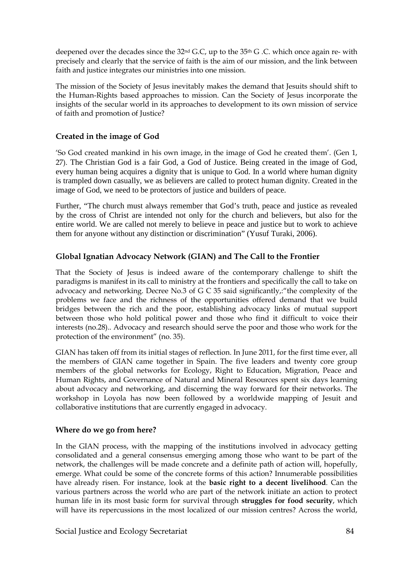deepened over the decades since the  $32<sup>nd</sup>$  G.C, up to the  $35<sup>th</sup>$  G.C. which once again re- with precisely and clearly that the service of faith is the aim of our mission, and the link between faith and justice integrates our ministries into one mission.

The mission of the Society of Jesus inevitably makes the demand that Jesuits should shift to the Human-Rights based approaches to mission. Can the Society of Jesus incorporate the insights of the secular world in its approaches to development to its own mission of service of faith and promotion of Justice?

# **Created in the image of God**

'So God created mankind in his own image, in the image of God he created them'. (Gen 1, 27). The Christian God is a fair God, a God of Justice. Being created in the image of God, every human being acquires a dignity that is unique to God. In a world where human dignity is trampled down casually, we as believers are called to protect human dignity. Created in the image of God, we need to be protectors of justice and builders of peace.

Further, "The church must always remember that God's truth, peace and justice as revealed by the cross of Christ are intended not only for the church and believers, but also for the entire world. We are called not merely to believe in peace and justice but to work to achieve them for anyone without any distinction or discrimination" (Yusuf Turaki, 2006).

# **Global Ignatian Advocacy Network (GIAN) and The Call to the Frontier**

That the Society of Jesus is indeed aware of the contemporary challenge to shift the paradigms is manifest in its call to ministry at the frontiers and specifically the call to take on advocacy and networking. Decree No.3 of G C 35 said significantly,:"the complexity of the problems we face and the richness of the opportunities offered demand that we build bridges between the rich and the poor, establishing advocacy links of mutual support between those who hold political power and those who find it difficult to voice their interests (no.28).. Advocacy and research should serve the poor and those who work for the protection of the environment" (no. 35).

GIAN has taken off from its initial stages of reflection. In June 2011, for the first time ever, all the members of GIAN came together in Spain. The five leaders and twenty core group members of the global networks for Ecology, Right to Education, Migration, Peace and Human Rights, and Governance of Natural and Mineral Resources spent six days learning about advocacy and networking, and discerning the way forward for their networks. The workshop in Loyola has now been followed by a worldwide mapping of Jesuit and collaborative institutions that are currently engaged in advocacy.

# **Where do we go from here?**

In the GIAN process, with the mapping of the institutions involved in advocacy getting consolidated and a general consensus emerging among those who want to be part of the network, the challenges will be made concrete and a definite path of action will, hopefully, emerge. What could be some of the concrete forms of this action? Innumerable possibilities have already risen. For instance, look at the **basic right to a decent livelihood**. Can the various partners across the world who are part of the network initiate an action to protect human life in its most basic form for survival through **struggles for food security**, which will have its repercussions in the most localized of our mission centres? Across the world,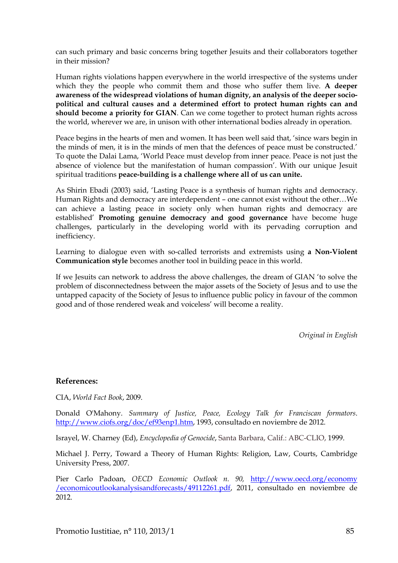can such primary and basic concerns bring together Jesuits and their collaborators together in their mission?

Human rights violations happen everywhere in the world irrespective of the systems under which they the people who commit them and those who suffer them live. **A deeper awareness of the widespread violations of human dignity, an analysis of the deeper sociopolitical and cultural causes and a determined effort to protect human rights can and should become a priority for GIAN**. Can we come together to protect human rights across the world, wherever we are, in unison with other international bodies already in operation.

Peace begins in the hearts of men and women. It has been well said that, 'since wars begin in the minds of men, it is in the minds of men that the defences of peace must be constructed.' To quote the Dalai Lama, 'World Peace must develop from inner peace. Peace is not just the absence of violence but the manifestation of human compassion'. With our unique Jesuit spiritual traditions **peace-building is a challenge where all of us can unite.**

As Shirin Ebadi (2003) said, 'Lasting Peace is a synthesis of human rights and democracy. Human Rights and democracy are interdependent – one cannot exist without the other…We can achieve a lasting peace in society only when human rights and democracy are established' **Promoting genuine democracy and good governance** have become huge challenges, particularly in the developing world with its pervading corruption and inefficiency.

Learning to dialogue even with so-called terrorists and extremists using **a Non-Violent Communication style** becomes another tool in building peace in this world.

If we Jesuits can network to address the above challenges, the dream of GIAN 'to solve the problem of disconnectedness between the major assets of the Society of Jesus and to use the untapped capacity of the Society of Jesus to influence public policy in favour of the common good and of those rendered weak and voiceless' will become a reality.

*Original in English*

#### **References:**

CIA, *World Fact Book*, 2009.

Donald O'Mahony. *Summary of Justice, Peace, Ecology Talk for Franciscan formators*. [http://www.ciofs.org/doc/ef93enp1.htm,](http://www.ciofs.org/doc/ef93enp1.htm) 1993, consultado en noviembre de 2012.

Israyel, W. Charney (Ed), *Encyclopedia of Genocide*, Santa Barbara, Calif.: ABC-CLIO, 1999.

Michael J. Perry, Toward a Theory of Human Rights: Religion, Law, Courts, Cambridge University Press, 2007.

Pier Carlo Padoan, *OECD Economic Outlook n. 90,* [http://www.oecd.org/economy](http://www.oecd.org/economy%20/economicoutlookanalysisandforecasts/49112261.pdf)  [/economicoutlookanalysisandforecasts/49112261.pdf,](http://www.oecd.org/economy%20/economicoutlookanalysisandforecasts/49112261.pdf) 2011, consultado en noviembre de 2012.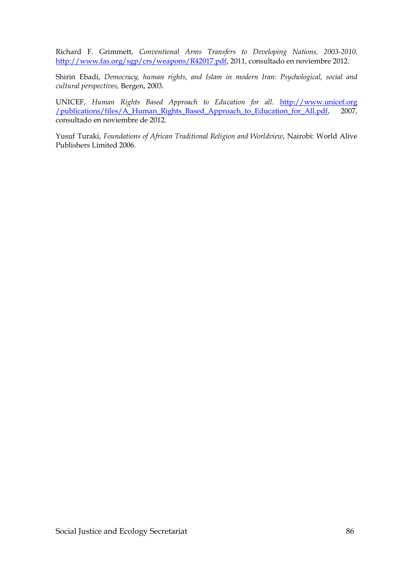Richard F. Grimmett, *Conventional Arms Transfers to Developing Nations, 2003-2010*. [http://www.fas.org/sgp/crs/weapons/R42017.pdf,](http://www.fas.org/sgp/crs/weapons/R42017.pdf) 2011, consultado en noviembre 2012.

Shirin Ebadi, *Democracy, human rights, and Islam in modern Iran: Psychological, social and cultural perspectives,* Bergen, 2003.

UNICEF, *Human Rights Based Approach to Education for all*. http://www.unicef.org /publications/files/A\_Human\_Rights\_Based\_Approach\_to\_Education\_for\_All.pdf, 2007, consultado en noviembre de 2012.

Yusuf Turaki, *Foundations of African Traditional Religion and Worldview*, Nairobi: World Alive Publishers Limited 2006.